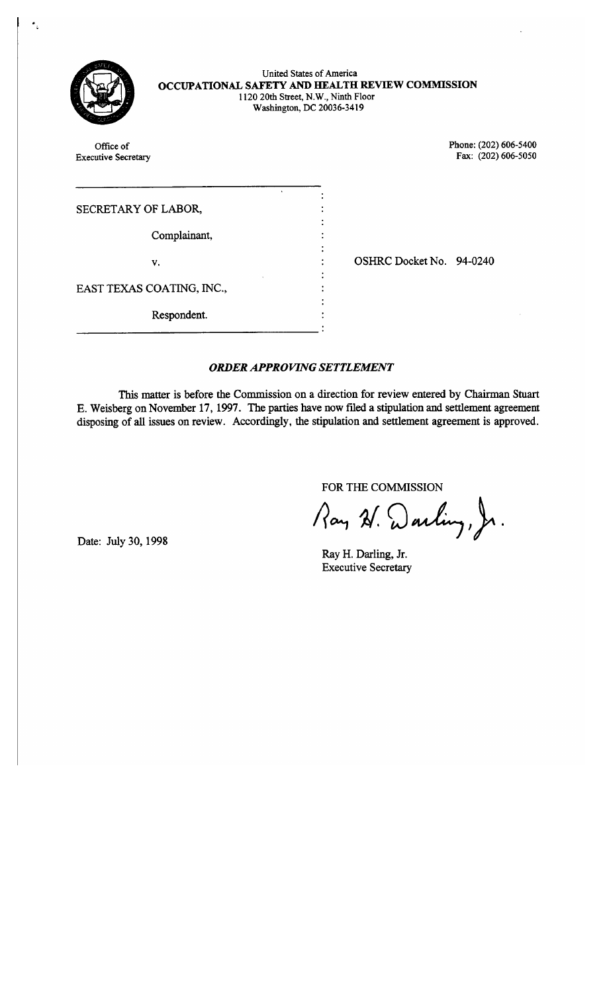

United States of America OCCUPATIONAL SAFETY AND HEALTH REVIEW COMMISSION 1120 20th Street, N.W., Ninth Floor Washington, DC 20036-3419

Phone: (202) 606-5400 Office of Fax: (202) 606-5050 **Executive Secretary** SECRETARY OF LABOR, Complainant, OSHRC Docket No. 94-0240 v. EAST TEXAS COATING, INC., Respondent.

# **ORDER APPROVING SETTLEMENT**

This matter is before the Commission on a direction for review entered by Chairman Stuart E. Weisberg on November 17, 1997. The parties have now filed a stipulation and settlement agreement disposing of all issues on review. Accordingly, the stipulation and settlement agreement is approved.

FOR THE COMMISSION

Ray W. Warling, Jr.

Ray H. Darling, Jr. **Executive Secretary** 

Date: July 30, 1998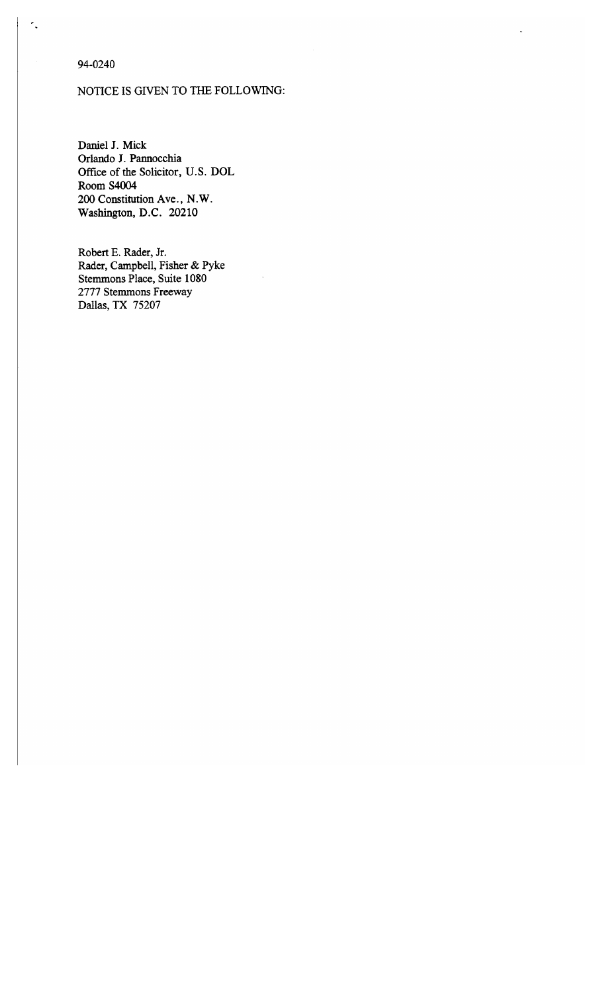94-0240

# NOTICE IS GIVEN TO THE FOLLOWING:

Daniel J. Mick Orlando J. Pannocchia Office of the Solicitor, U.S. DOL **Room S4004** 200 Constitution Ave., N.W. Washington, D.C. 20210

Robert E. Rader, Jr. Rader, Campbell, Fisher & Pyke Stemmons Place, Suite 1080 2777 Stemmons Freeway Dallas, TX 75207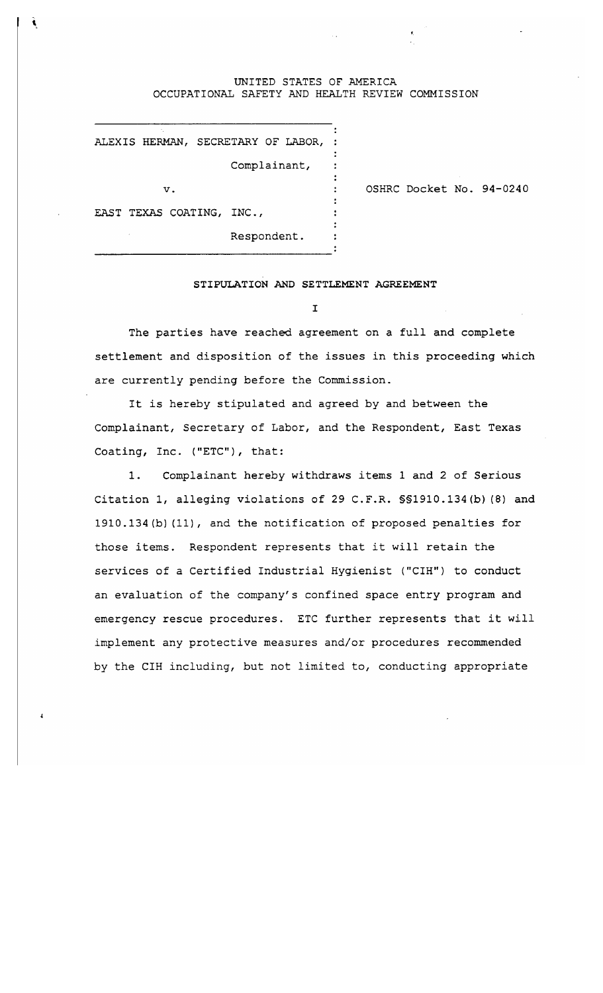#### UNITED STATES OF AMERICA OCCUPATIONAL SAFETY AND HEALTH REVIEW COMMISSION

 $\cdot$ 

 $\ddot{\cdot}$ 

ALEXIS HERMAN, SECRETARY OF LABOR, :

Complainant,

 $\mathbf v$  .

OSHRC Docket No. 94-0240

EAST TEXAS COATING, INC.,

Respondent.

### STIPULATION AND SETTLEMENT AGREEMENT

 $\mathbf{I}$ 

The parties have reached agreement on a full and complete settlement and disposition of the issues in this proceeding which are currently pending before the Commission.

It is hereby stipulated and agreed by and between the Complainant, Secretary of Labor, and the Respondent, East Texas Coating, Inc. ("ETC"), that:

Complainant hereby withdraws items 1 and 2 of Serious  $1.$ Citation 1, alleging violations of 29 C.F.R. \$\$1910.134(b) (8) and 1910.134 (b) (11), and the notification of proposed penalties for those items. Respondent represents that it will retain the services of a Certified Industrial Hygienist ("CIH") to conduct an evaluation of the company's confined space entry program and emergency rescue procedures. ETC further represents that it will implement any protective measures and/or procedures recommended by the CIH including, but not limited to, conducting appropriate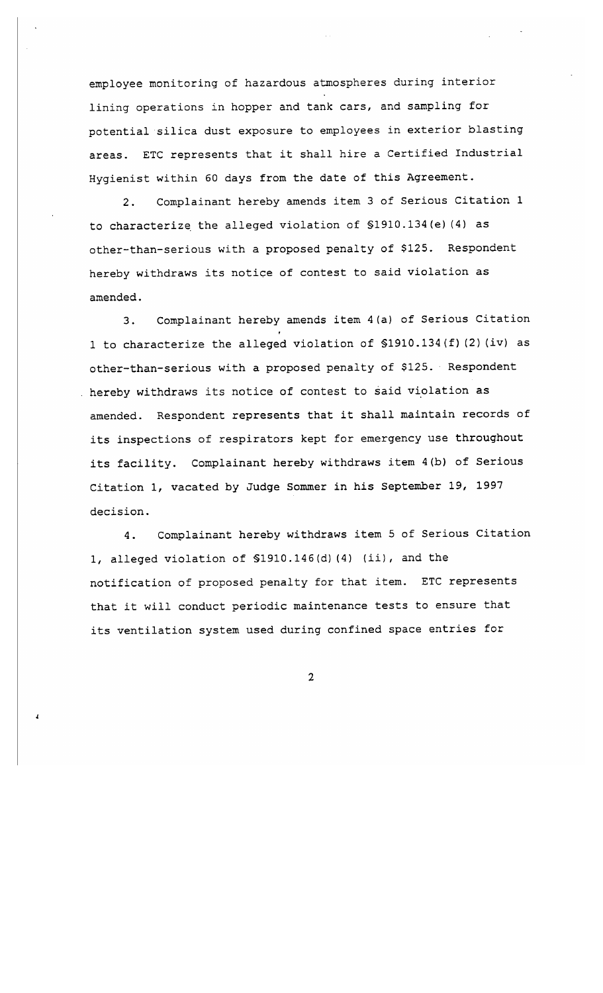employee monitoring of hazardous atmospheres during interior lining operations in hopper and tank cars, and sampling for potential silica dust exposure to employees in exterior blasting areas. ETC represents that it shall hire a Certified Industrial Hygienist within 60 days from the date of this Agreement.

Complainant hereby amends item 3 of Serious Citation 1  $2.$ to characterize the alleged violation of \$1910.134(e)(4) as other-than-serious with a proposed penalty of \$125. Respondent hereby withdraws its notice of contest to said violation as amended.

Complainant hereby amends item 4(a) of Serious Citation  $3.$ 1 to characterize the alleged violation of \$1910.134(f)(2)(iv) as other-than-serious with a proposed penalty of \$125. Respondent . hereby withdraws its notice of contest to said violation as amended. Respondent represents that it shall maintain records of its inspections of respirators kept for emergency use throughout its facility. Complainant hereby withdraws item 4(b) of Serious Citation 1, vacated by Judge Sommer in his September 19, 1997 decision.

Complainant hereby withdraws item 5 of Serious Citation 4. 1, alleged violation of \$1910.146(d)(4) (ii), and the notification of proposed penalty for that item. ETC represents that it will conduct periodic maintenance tests to ensure that its ventilation system used during confined space entries for

 $\overline{2}$ 

 $\overline{\mathbf{I}}$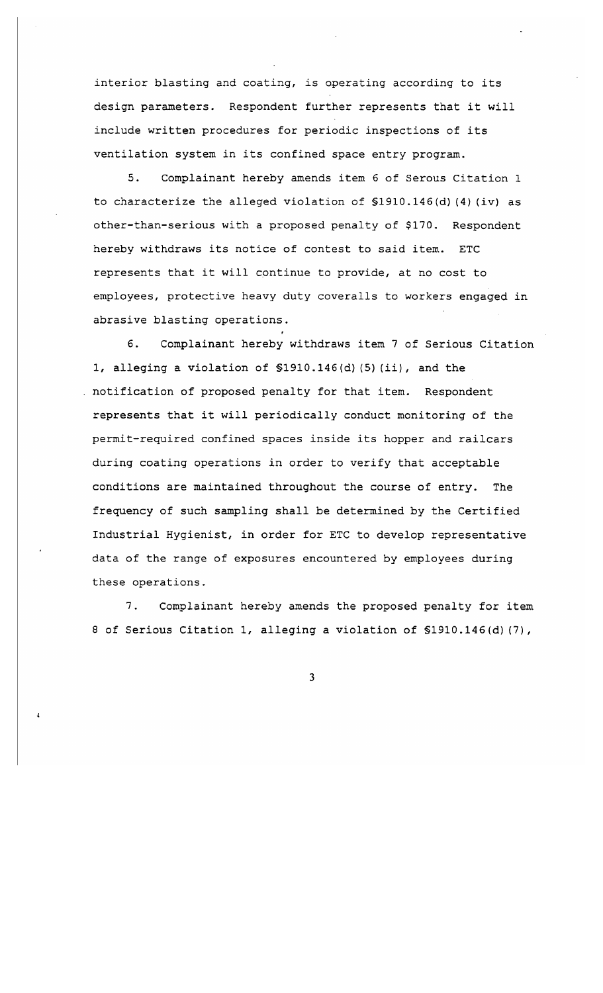interior blasting and coating, is operating according to its design parameters. Respondent further represents that it will include written procedures for periodic inspections of its ventilation system in its confined space entry program.

 $5.$ Complainant hereby amends item 6 of Serous Citation 1 to characterize the alleged violation of  $$1910.146(d)$  (4) (iv) as other-than-serious with a proposed penalty of \$170. Respondent hereby withdraws its notice of contest to said item. ETC represents that it will continue to provide, at no cost to employees, protective heavy duty coveralls to workers engaged in abrasive blasting operations.

6. Complainant hereby withdraws item 7 of Serious Citation 1, alleging a violation of \$1910.146(d)(5)(ii), and the . notification of proposed penalty for that item. Respondent represents that it will periodically conduct monitoring of the permit-required confined spaces inside its hopper and railcars during coating operations in order to verify that acceptable conditions are maintained throughout the course of entry. The frequency of such sampling shall be determined by the Certified Industrial Hygienist, in order for ETC to develop representative data of the range of exposures encountered by employees during these operations.

7. Complainant hereby amends the proposed penalty for item 8 of Serious Citation 1, alleging a violation of \$1910.146(d)(7),

 $\mathbf{3}$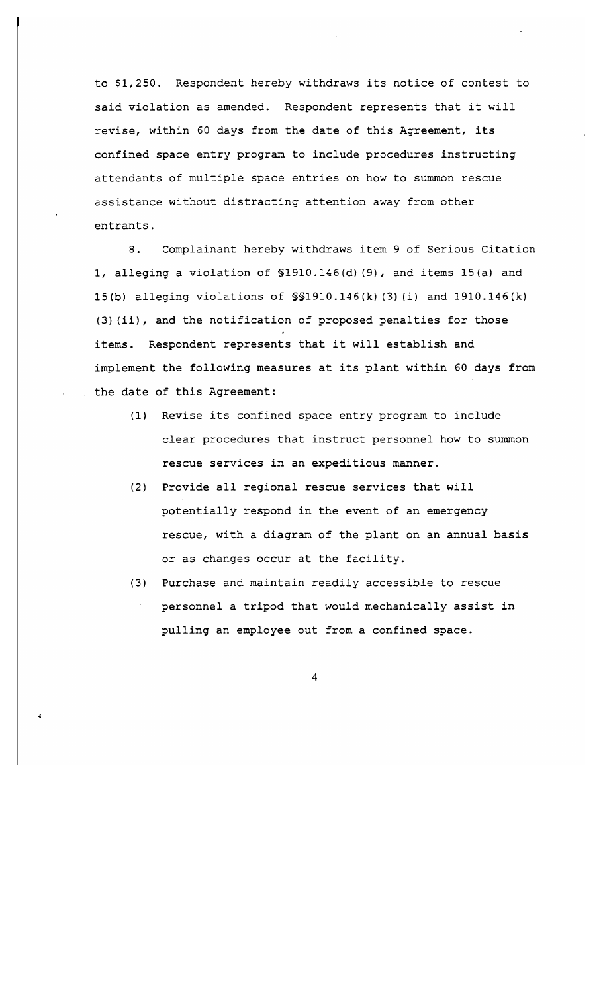to \$1,250. Respondent hereby withdraws its notice of contest to said violation as amended. Respondent represents that it will revise, within 60 days from the date of this Agreement, its confined space entry program to include procedures instructing attendants of multiple space entries on how to summon rescue assistance without distracting attention away from other entrants.

 $8.$ Complainant hereby withdraws item 9 of Serious Citation 1, alleging a violation of \$1910.146(d)(9), and items 15(a) and 15(b) alleging violations of SS1910.146(k)(3)(i) and 1910.146(k) (3)(ii), and the notification of proposed penalties for those items. Respondent represents that it will establish and implement the following measures at its plant within 60 days from the date of this Agreement:

- (1) Revise its confined space entry program to include clear procedures that instruct personnel how to summon rescue services in an expeditious manner.
- (2) Provide all regional rescue services that will potentially respond in the event of an emergency rescue, with a diagram of the plant on an annual basis or as changes occur at the facility.
- (3) Purchase and maintain readily accessible to rescue personnel a tripod that would mechanically assist in pulling an employee out from a confined space.

 $\overline{\mathbf{4}}$ 

4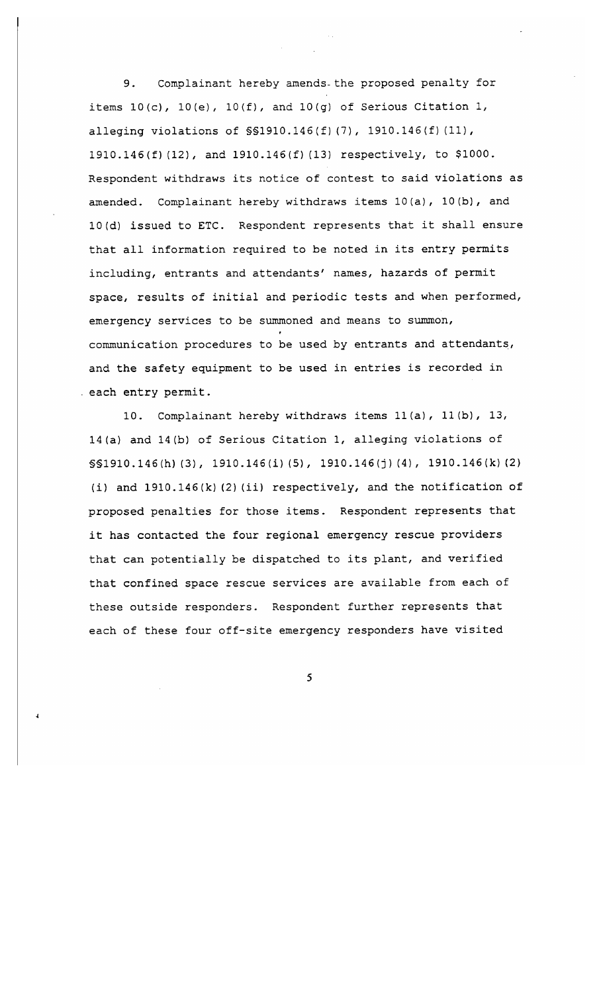Complainant hereby amends the proposed penalty for 9. items  $10(c)$ ,  $10(e)$ ,  $10(f)$ , and  $10(g)$  of Serious Citation 1, alleging violations of  $\$91910.146(f)(7)$ , 1910.146(f)(11), 1910.146(f)(12), and 1910.146(f)(13) respectively, to \$1000. Respondent withdraws its notice of contest to said violations as amended. Complainant hereby withdraws items 10(a), 10(b), and 10(d) issued to ETC. Respondent represents that it shall ensure that all information required to be noted in its entry permits including, entrants and attendants' names, hazards of permit space, results of initial and periodic tests and when performed, emergency services to be summoned and means to summon, communication procedures to be used by entrants and attendants, and the safety equipment to be used in entries is recorded in each entry permit.

10. Complainant hereby withdraws items 11(a), 11(b), 13, 14(a) and 14(b) of Serious Citation 1, alleging violations of  $\$1910.146(h) (3)$ , 1910.146(i)(5), 1910.146(j)(4), 1910.146(k)(2) (i) and  $1910.146(k)$  (2) (ii) respectively, and the notification of proposed penalties for those items. Respondent represents that it has contacted the four regional emergency rescue providers that can potentially be dispatched to its plant, and verified that confined space rescue services are available from each of these outside responders. Respondent further represents that each of these four off-site emergency responders have visited

5

 $\blacktriangleleft$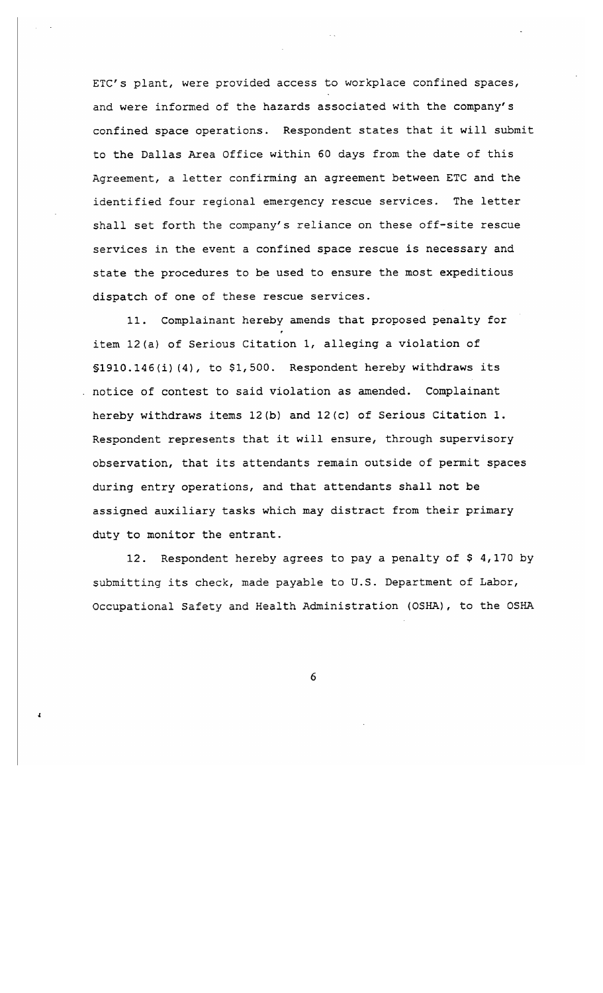ETC's plant, were provided access to workplace confined spaces, and were informed of the hazards associated with the company's confined space operations. Respondent states that it will submit to the Dallas Area Office within 60 days from the date of this Agreement, a letter confirming an agreement between ETC and the identified four regional emergency rescue services. The letter shall set forth the company's reliance on these off-site rescue services in the event a confined space rescue is necessary and state the procedures to be used to ensure the most expeditious dispatch of one of these rescue services.

11. Complainant hereby amends that proposed penalty for item 12(a) of Serious Citation 1, alleging a violation of \$1910.146(i)(4), to \$1,500. Respondent hereby withdraws its . notice of contest to said violation as amended. Complainant hereby withdraws items 12(b) and 12(c) of Serious Citation 1. Respondent represents that it will ensure, through supervisory observation, that its attendants remain outside of permit spaces during entry operations, and that attendants shall not be assigned auxiliary tasks which may distract from their primary duty to monitor the entrant.

12. Respondent hereby agrees to pay a penalty of \$4,170 by submitting its check, made payable to U.S. Department of Labor, Occupational Safety and Health Administration (OSHA), to the OSHA

6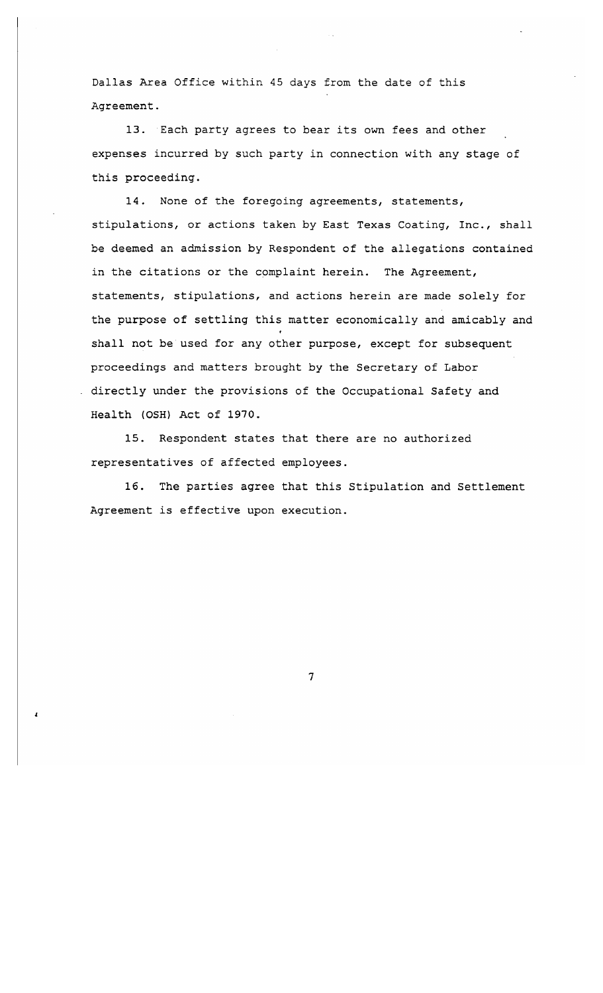Dallas Area Office within 45 days from the date of this Agreement.

13. Each party agrees to bear its own fees and other expenses incurred by such party in connection with any stage of this proceeding.

None of the foregoing agreements, statements, 14. stipulations, or actions taken by East Texas Coating, Inc., shall be deemed an admission by Respondent of the allegations contained in the citations or the complaint herein. The Agreement, statements, stipulations, and actions herein are made solely for the purpose of settling this matter economically and amicably and shall not be used for any other purpose, except for subsequent proceedings and matters brought by the Secretary of Labor directly under the provisions of the Occupational Safety and Health (OSH) Act of 1970.

15. Respondent states that there are no authorized representatives of affected employees.

16. The parties agree that this Stipulation and Settlement Agreement is effective upon execution.

 $\overline{7}$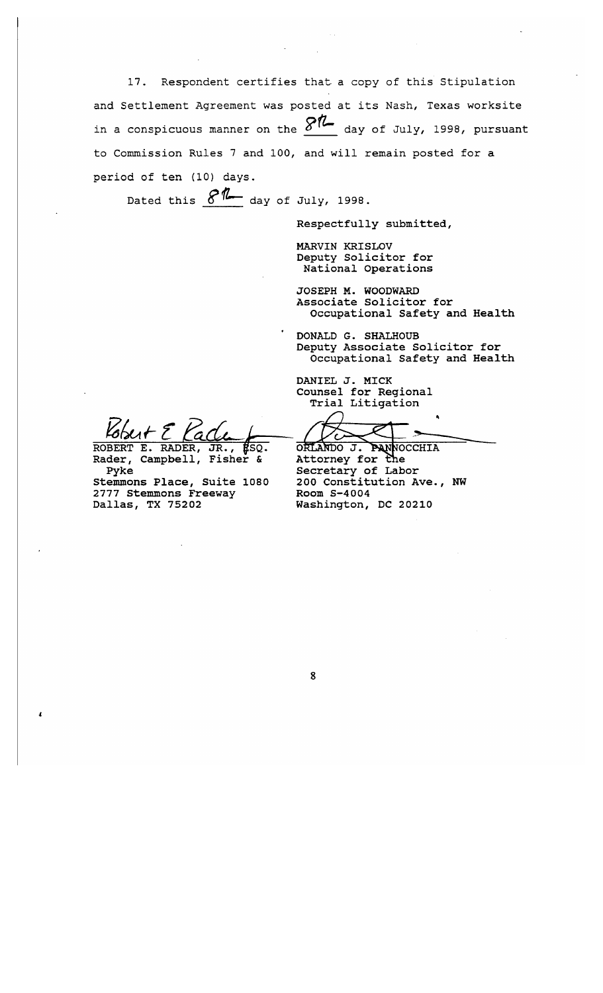17. Respondent certifies that a copy of this Stipulation and Settlement Agreement was posted at its Nash, Texas worksite in a conspicuous manner on the  $\mathcal{S}\mathcal{R}$  day of July, 1998, pursuant to Commission Rules 7 and 100, and will remain posted for a period of ten (10) days.

Dated this  $8\%$  day of July, 1998.

Respectfully submitted,

**MARVIN KRISLOV** Deputy Solicitor for National Operations

JOSEPH M. WOODWARD Associate Solicitor for Occupational Safety and Health

DONALD G. SHALHOUB Deputy Associate Solicitor for Occupational Safety and Health

DANIEL J. MICK Counsel for Regional Trial Litigation

ORLANDO J. PANNOCCHIA Attorney for the Secretary of Labor 200 Constitution Ave., NW Room S-4004 Washington, DC 20210

ROBERT E. RADER, 'SO. JR.

Rader, Campbell, Fisher & Pyke Stemmons Place, Suite 1080 2777 Stemmons Freeway Dallas, TX 75202

 $\mathbf{I}$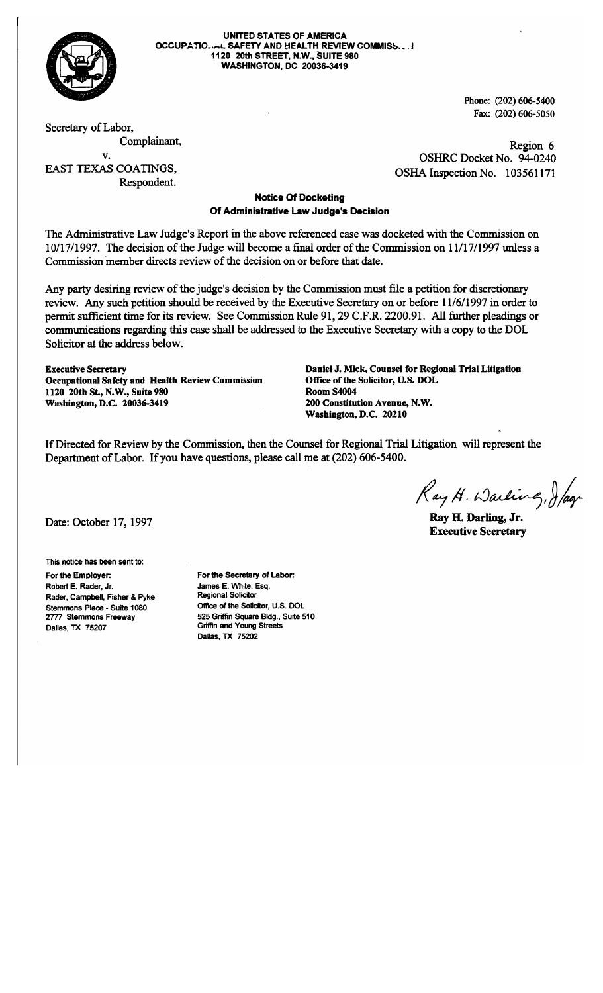

**UNITED STATES OF AMERICA** OCCUPATIO: U.L. SAFETY AND HEALTH REVIEW COMMISS...! 1120 20th STREET, N.W., SUITE 980 **WASHINGTON, DC 20036-3419** 

> Phone: (202) 606-5400 Fax: (202) 606-5050

Secretary of Labor, Complainant,  $\mathbf{v}$ . **EAST TEXAS COATINGS.** Respondent.

Region 6 OSHRC Docket No. 94-0240 OSHA Inspection No. 103561171

## **Notice Of Docketing** Of Administrative Law Judge's Decision

The Administrative Law Judge's Report in the above referenced case was docketed with the Commission on 10/17/1997. The decision of the Judge will become a final order of the Commission on 11/17/1997 unless a Commission member directs review of the decision on or before that date.

Any party desiring review of the judge's decision by the Commission must file a petition for discretionary review. Any such petition should be received by the Executive Secretary on or before 11/6/1997 in order to permit sufficient time for its review. See Commission Rule 91, 29 C.F.R. 2200.91. All further pleadings or communications regarding this case shall be addressed to the Executive Secretary with a copy to the DOL Solicitor at the address below.

**Executive Secretary** Occupational Safety and Health Review Commission 1120 20th St., N.W., Suite 980 Washington, D.C. 20036-3419

Daniel J. Mick, Counsel for Regional Trial Litigation Office of the Solicitor, U.S. DOL **Room S4004** 200 Constitution Avenue, N.W. Washington, D.C. 20210

If Directed for Review by the Commission, then the Counsel for Regional Trial Litigation will represent the Department of Labor. If you have questions, please call me at (202) 606-5400.

Ray H. Warling, Jag

Ray H. Darling, Jr. **Executive Secretary** 

Date: October 17, 1997

This notice has been sent to:

For the Employer: Robert E. Rader, Jr. Rader, Campbell, Fisher & Pyke Stemmons Place - Suite 1080 2777 Stemmons Freeway Dallas, TX 75207

For the Secretary of Labor: James E. White, Esq. **Regional Solicitor** Office of the Solicitor, U.S. DOL 525 Griffin Square Bldg., Suite 510 Griffin and Young Streets Dallas, TX 75202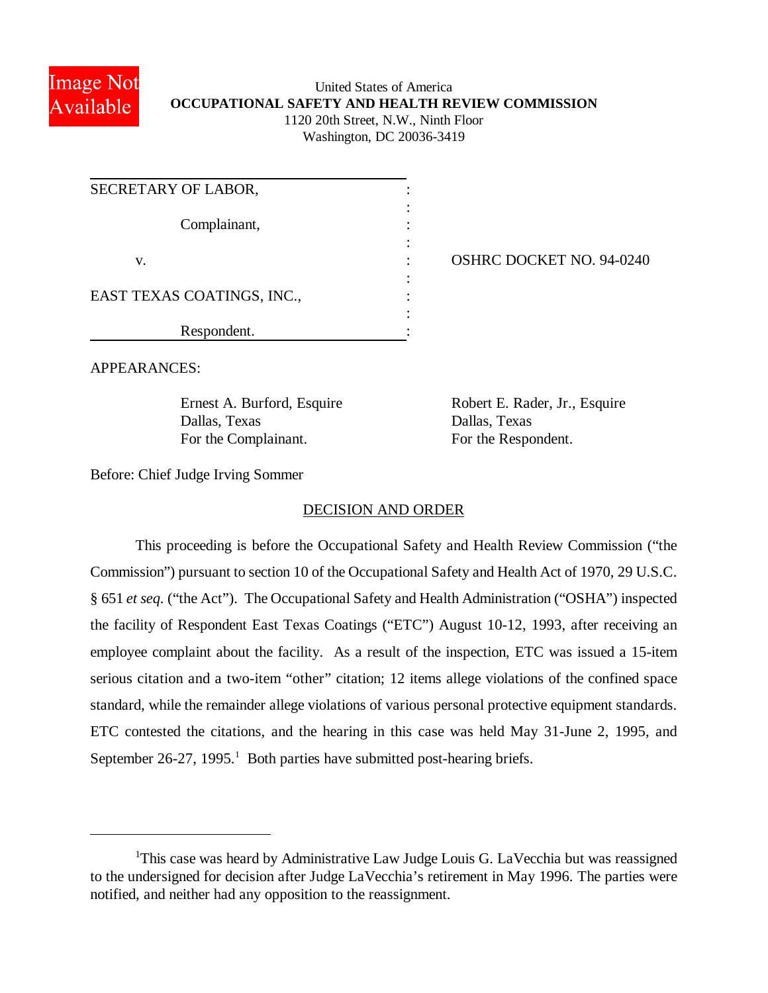

# United States of America **OCCUPATIONAL SAFETY AND HEALTH REVIEW COMMISSION** 1120 20th Street, N.W., Ninth Floor Washington, DC 20036-3419

| SECRETARY OF LABOR,        |  |
|----------------------------|--|
| Complainant,               |  |
| V.                         |  |
| EAST TEXAS COATINGS, INC., |  |
| Respondent.                |  |

OSHRC DOCKET NO. 94-0240

APPEARANCES:

Dallas, Texas Dallas, Texas For the Complainant. For the Respondent.

Ernest A. Burford, Esquire Robert E. Rader, Jr., Esquire

Before: Chief Judge Irving Sommer

# DECISION AND ORDER

This proceeding is before the Occupational Safety and Health Review Commission ("the Commission") pursuant to section 10 of the Occupational Safety and Health Act of 1970, 29 U.S.C. § 651 *et seq.* ("the Act"). The Occupational Safety and Health Administration ("OSHA") inspected the facility of Respondent East Texas Coatings ("ETC") August 10-12, 1993, after receiving an employee complaint about the facility. As a result of the inspection, ETC was issued a 15-item serious citation and a two-item "other" citation; 12 items allege violations of the confined space standard, while the remainder allege violations of various personal protective equipment standards. ETC contested the citations, and the hearing in this case was held May 31-June 2, 1995, and September  $26-27$ ,  $1995$ .<sup>1</sup> Both parties have submitted post-hearing briefs.

<sup>&</sup>lt;sup>1</sup>This case was heard by Administrative Law Judge Louis G. LaVecchia but was reassigned to the undersigned for decision after Judge LaVecchia's retirement in May 1996. The parties were notified, and neither had any opposition to the reassignment.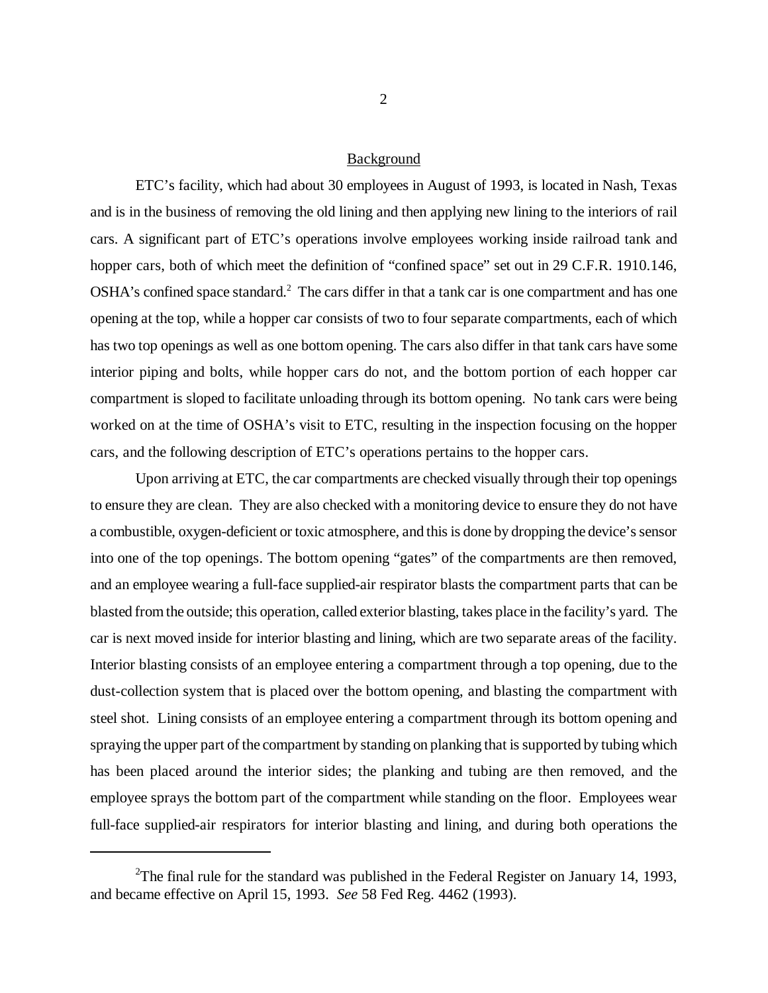#### Background

ETC's facility, which had about 30 employees in August of 1993, is located in Nash, Texas and is in the business of removing the old lining and then applying new lining to the interiors of rail cars. A significant part of ETC's operations involve employees working inside railroad tank and hopper cars, both of which meet the definition of "confined space" set out in 29 C.F.R. 1910.146,  $OSHA$ 's confined space standard.<sup>2</sup> The cars differ in that a tank car is one compartment and has one opening at the top, while a hopper car consists of two to four separate compartments, each of which has two top openings as well as one bottom opening. The cars also differ in that tank cars have some interior piping and bolts, while hopper cars do not, and the bottom portion of each hopper car compartment is sloped to facilitate unloading through its bottom opening. No tank cars were being worked on at the time of OSHA's visit to ETC, resulting in the inspection focusing on the hopper cars, and the following description of ETC's operations pertains to the hopper cars.

Upon arriving at ETC, the car compartments are checked visually through their top openings to ensure they are clean. They are also checked with a monitoring device to ensure they do not have a combustible, oxygen-deficient or toxic atmosphere, and this is done by dropping the device's sensor into one of the top openings. The bottom opening "gates" of the compartments are then removed, and an employee wearing a full-face supplied-air respirator blasts the compartment parts that can be blasted from the outside; this operation, called exterior blasting, takes place in the facility's yard. The car is next moved inside for interior blasting and lining, which are two separate areas of the facility. Interior blasting consists of an employee entering a compartment through a top opening, due to the dust-collection system that is placed over the bottom opening, and blasting the compartment with steel shot. Lining consists of an employee entering a compartment through its bottom opening and spraying the upper part of the compartment by standing on planking that is supported by tubing which has been placed around the interior sides; the planking and tubing are then removed, and the employee sprays the bottom part of the compartment while standing on the floor. Employees wear full-face supplied-air respirators for interior blasting and lining, and during both operations the

<sup>&</sup>lt;sup>2</sup>The final rule for the standard was published in the Federal Register on January 14, 1993, and became effective on April 15, 1993. *See* 58 Fed Reg. 4462 (1993).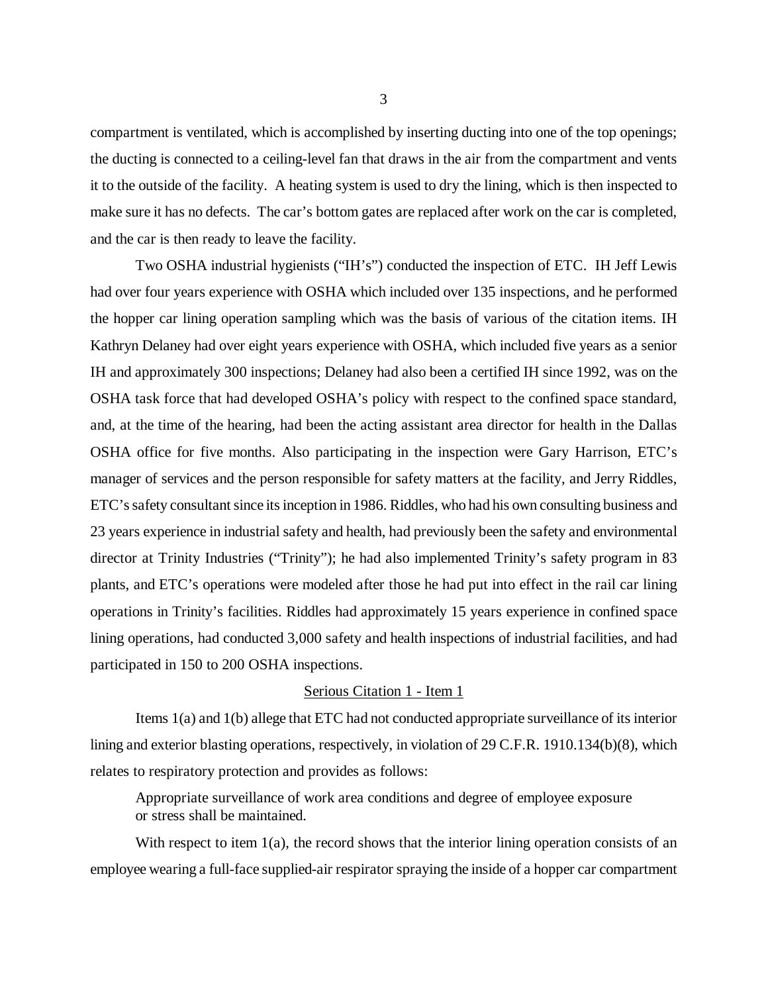compartment is ventilated, which is accomplished by inserting ducting into one of the top openings; the ducting is connected to a ceiling-level fan that draws in the air from the compartment and vents it to the outside of the facility. A heating system is used to dry the lining, which is then inspected to make sure it has no defects. The car's bottom gates are replaced after work on the car is completed, and the car is then ready to leave the facility.

Two OSHA industrial hygienists ("IH's") conducted the inspection of ETC. IH Jeff Lewis had over four years experience with OSHA which included over 135 inspections, and he performed the hopper car lining operation sampling which was the basis of various of the citation items. IH Kathryn Delaney had over eight years experience with OSHA, which included five years as a senior IH and approximately 300 inspections; Delaney had also been a certified IH since 1992, was on the OSHA task force that had developed OSHA's policy with respect to the confined space standard, and, at the time of the hearing, had been the acting assistant area director for health in the Dallas OSHA office for five months. Also participating in the inspection were Gary Harrison, ETC's manager of services and the person responsible for safety matters at the facility, and Jerry Riddles, ETC's safety consultant since its inception in 1986. Riddles, who had his own consulting business and 23 years experience in industrial safety and health, had previously been the safety and environmental director at Trinity Industries ("Trinity"); he had also implemented Trinity's safety program in 83 plants, and ETC's operations were modeled after those he had put into effect in the rail car lining operations in Trinity's facilities. Riddles had approximately 15 years experience in confined space lining operations, had conducted 3,000 safety and health inspections of industrial facilities, and had participated in 150 to 200 OSHA inspections.

#### Serious Citation 1 - Item 1

Items 1(a) and 1(b) allege that ETC had not conducted appropriate surveillance of its interior lining and exterior blasting operations, respectively, in violation of 29 C.F.R. 1910.134(b)(8), which relates to respiratory protection and provides as follows:

Appropriate surveillance of work area conditions and degree of employee exposure or stress shall be maintained.

With respect to item  $1(a)$ , the record shows that the interior lining operation consists of an employee wearing a full-face supplied-air respirator spraying the inside of a hopper car compartment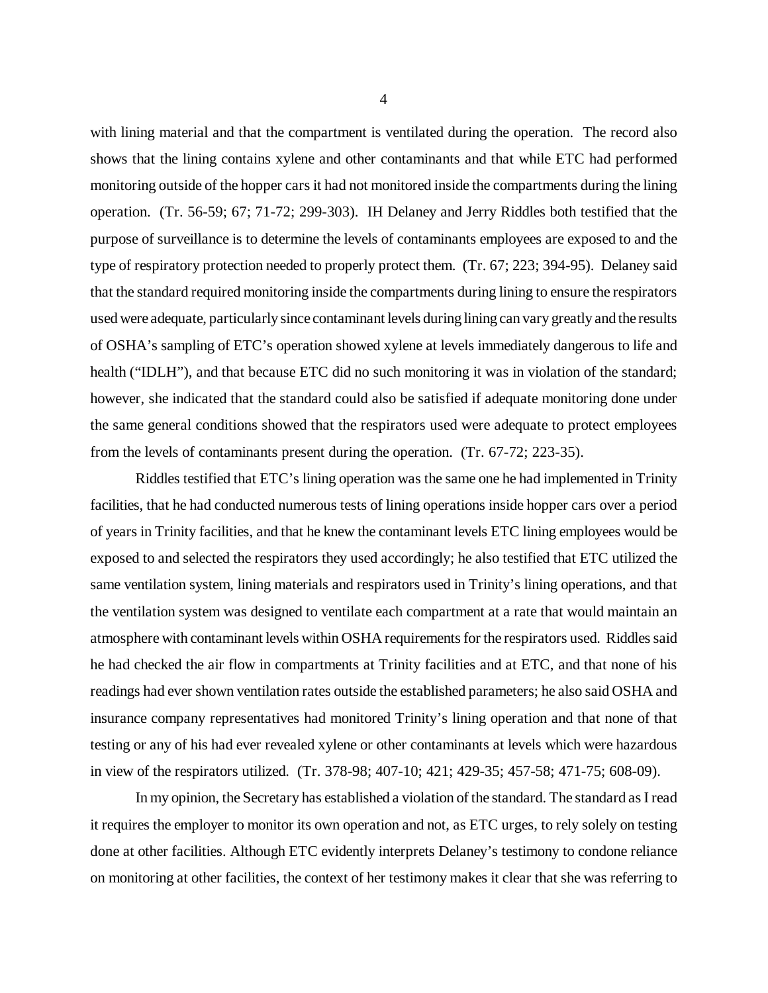with lining material and that the compartment is ventilated during the operation. The record also shows that the lining contains xylene and other contaminants and that while ETC had performed monitoring outside of the hopper cars it had not monitored inside the compartments during the lining operation. (Tr. 56-59; 67; 71-72; 299-303). IH Delaney and Jerry Riddles both testified that the purpose of surveillance is to determine the levels of contaminants employees are exposed to and the type of respiratory protection needed to properly protect them. (Tr. 67; 223; 394-95). Delaney said that the standard required monitoring inside the compartments during lining to ensure the respirators used were adequate, particularly since contaminant levels during lining can vary greatly and the results of OSHA's sampling of ETC's operation showed xylene at levels immediately dangerous to life and health ("IDLH"), and that because ETC did no such monitoring it was in violation of the standard; however, she indicated that the standard could also be satisfied if adequate monitoring done under the same general conditions showed that the respirators used were adequate to protect employees from the levels of contaminants present during the operation. (Tr. 67-72; 223-35).

Riddles testified that ETC's lining operation was the same one he had implemented in Trinity facilities, that he had conducted numerous tests of lining operations inside hopper cars over a period of years in Trinity facilities, and that he knew the contaminant levels ETC lining employees would be exposed to and selected the respirators they used accordingly; he also testified that ETC utilized the same ventilation system, lining materials and respirators used in Trinity's lining operations, and that the ventilation system was designed to ventilate each compartment at a rate that would maintain an atmosphere with contaminant levels within OSHA requirements for the respirators used. Riddles said he had checked the air flow in compartments at Trinity facilities and at ETC, and that none of his readings had ever shown ventilation rates outside the established parameters; he also said OSHA and insurance company representatives had monitored Trinity's lining operation and that none of that testing or any of his had ever revealed xylene or other contaminants at levels which were hazardous in view of the respirators utilized. (Tr. 378-98; 407-10; 421; 429-35; 457-58; 471-75; 608-09).

In my opinion, the Secretary has established a violation of the standard. The standard as I read it requires the employer to monitor its own operation and not, as ETC urges, to rely solely on testing done at other facilities. Although ETC evidently interprets Delaney's testimony to condone reliance on monitoring at other facilities, the context of her testimony makes it clear that she was referring to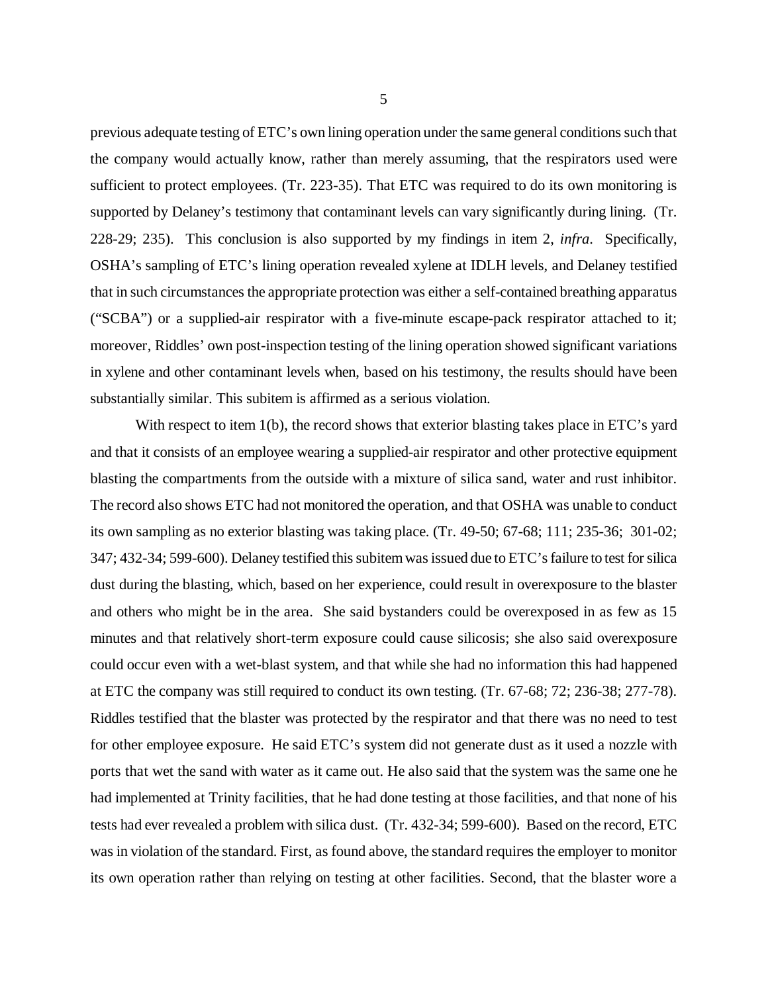previous adequate testing of ETC's own lining operation under the same general conditions such that the company would actually know, rather than merely assuming, that the respirators used were sufficient to protect employees. (Tr. 223-35). That ETC was required to do its own monitoring is supported by Delaney's testimony that contaminant levels can vary significantly during lining. (Tr. 228-29; 235). This conclusion is also supported by my findings in item 2, *infra*. Specifically, OSHA's sampling of ETC's lining operation revealed xylene at IDLH levels, and Delaney testified that in such circumstances the appropriate protection was either a self-contained breathing apparatus ("SCBA") or a supplied-air respirator with a five-minute escape-pack respirator attached to it; moreover, Riddles' own post-inspection testing of the lining operation showed significant variations in xylene and other contaminant levels when, based on his testimony, the results should have been substantially similar. This subitem is affirmed as a serious violation.

With respect to item 1(b), the record shows that exterior blasting takes place in ETC's yard and that it consists of an employee wearing a supplied-air respirator and other protective equipment blasting the compartments from the outside with a mixture of silica sand, water and rust inhibitor. The record also shows ETC had not monitored the operation, and that OSHA was unable to conduct its own sampling as no exterior blasting was taking place. (Tr. 49-50; 67-68; 111; 235-36; 301-02; 347; 432-34; 599-600). Delaney testified this subitem was issued due to ETC's failure to test for silica dust during the blasting, which, based on her experience, could result in overexposure to the blaster and others who might be in the area. She said bystanders could be overexposed in as few as 15 minutes and that relatively short-term exposure could cause silicosis; she also said overexposure could occur even with a wet-blast system, and that while she had no information this had happened at ETC the company was still required to conduct its own testing. (Tr. 67-68; 72; 236-38; 277-78). Riddles testified that the blaster was protected by the respirator and that there was no need to test for other employee exposure. He said ETC's system did not generate dust as it used a nozzle with ports that wet the sand with water as it came out. He also said that the system was the same one he had implemented at Trinity facilities, that he had done testing at those facilities, and that none of his tests had ever revealed a problem with silica dust. (Tr. 432-34; 599-600). Based on the record, ETC was in violation of the standard. First, as found above, the standard requires the employer to monitor its own operation rather than relying on testing at other facilities. Second, that the blaster wore a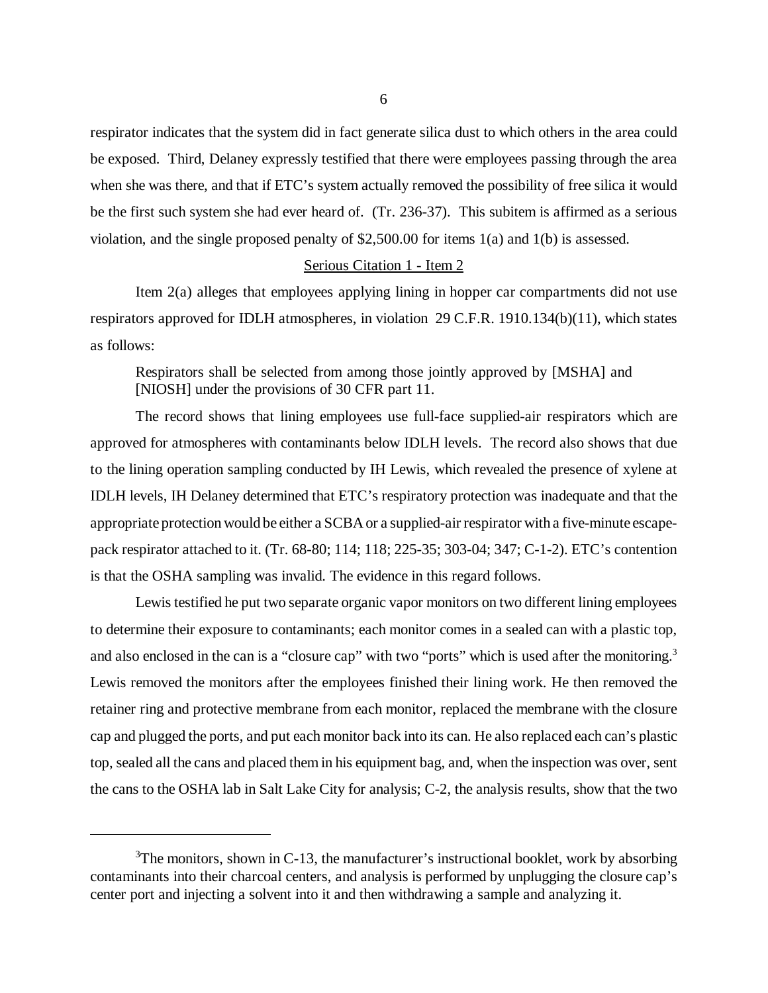respirator indicates that the system did in fact generate silica dust to which others in the area could be exposed. Third, Delaney expressly testified that there were employees passing through the area when she was there, and that if ETC's system actually removed the possibility of free silica it would be the first such system she had ever heard of. (Tr. 236-37). This subitem is affirmed as a serious violation, and the single proposed penalty of \$2,500.00 for items 1(a) and 1(b) is assessed.

#### Serious Citation 1 - Item 2

 Item 2(a) alleges that employees applying lining in hopper car compartments did not use respirators approved for IDLH atmospheres, in violation 29 C.F.R. 1910.134(b)(11), which states as follows:

Respirators shall be selected from among those jointly approved by [MSHA] and [NIOSH] under the provisions of 30 CFR part 11.

The record shows that lining employees use full-face supplied-air respirators which are approved for atmospheres with contaminants below IDLH levels. The record also shows that due to the lining operation sampling conducted by IH Lewis, which revealed the presence of xylene at IDLH levels, IH Delaney determined that ETC's respiratory protection was inadequate and that the appropriate protection would be either a SCBA or a supplied-air respirator with a five-minute escapepack respirator attached to it. (Tr. 68-80; 114; 118; 225-35; 303-04; 347; C-1-2). ETC's contention is that the OSHA sampling was invalid. The evidence in this regard follows.

Lewis testified he put two separate organic vapor monitors on two different lining employees to determine their exposure to contaminants; each monitor comes in a sealed can with a plastic top, and also enclosed in the can is a "closure cap" with two "ports" which is used after the monitoring.<sup>3</sup> Lewis removed the monitors after the employees finished their lining work. He then removed the retainer ring and protective membrane from each monitor, replaced the membrane with the closure cap and plugged the ports, and put each monitor back into its can. He also replaced each can's plastic top, sealed all the cans and placed them in his equipment bag, and, when the inspection was over, sent the cans to the OSHA lab in Salt Lake City for analysis; C-2, the analysis results, show that the two

 $3$ The monitors, shown in C-13, the manufacturer's instructional booklet, work by absorbing contaminants into their charcoal centers, and analysis is performed by unplugging the closure cap's center port and injecting a solvent into it and then withdrawing a sample and analyzing it.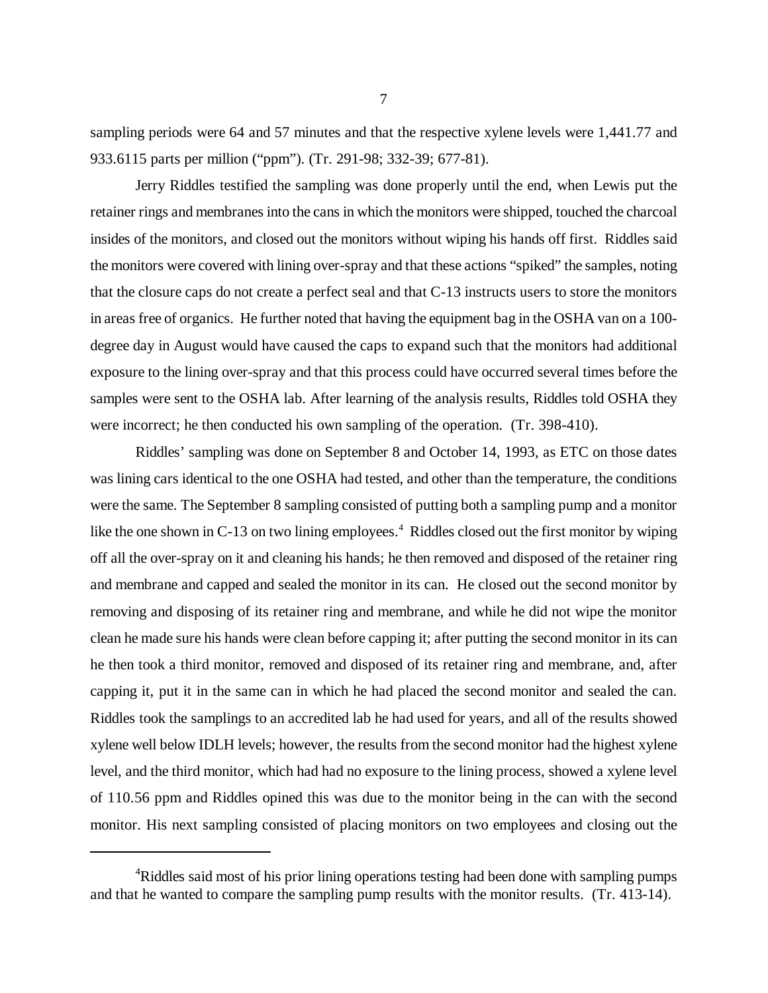sampling periods were 64 and 57 minutes and that the respective xylene levels were 1,441.77 and 933.6115 parts per million ("ppm"). (Tr. 291-98; 332-39; 677-81).

Jerry Riddles testified the sampling was done properly until the end, when Lewis put the retainer rings and membranes into the cans in which the monitors were shipped, touched the charcoal insides of the monitors, and closed out the monitors without wiping his hands off first. Riddles said the monitors were covered with lining over-spray and that these actions "spiked" the samples, noting that the closure caps do not create a perfect seal and that C-13 instructs users to store the monitors in areas free of organics. He further noted that having the equipment bag in the OSHA van on a 100 degree day in August would have caused the caps to expand such that the monitors had additional exposure to the lining over-spray and that this process could have occurred several times before the samples were sent to the OSHA lab. After learning of the analysis results, Riddles told OSHA they were incorrect; he then conducted his own sampling of the operation. (Tr. 398-410).

Riddles' sampling was done on September 8 and October 14, 1993, as ETC on those dates was lining cars identical to the one OSHA had tested, and other than the temperature, the conditions were the same. The September 8 sampling consisted of putting both a sampling pump and a monitor like the one shown in C-13 on two lining employees.<sup>4</sup> Riddles closed out the first monitor by wiping off all the over-spray on it and cleaning his hands; he then removed and disposed of the retainer ring and membrane and capped and sealed the monitor in its can. He closed out the second monitor by removing and disposing of its retainer ring and membrane, and while he did not wipe the monitor clean he made sure his hands were clean before capping it; after putting the second monitor in its can he then took a third monitor, removed and disposed of its retainer ring and membrane, and, after capping it, put it in the same can in which he had placed the second monitor and sealed the can. Riddles took the samplings to an accredited lab he had used for years, and all of the results showed xylene well below IDLH levels; however, the results from the second monitor had the highest xylene level, and the third monitor, which had had no exposure to the lining process, showed a xylene level of 110.56 ppm and Riddles opined this was due to the monitor being in the can with the second monitor. His next sampling consisted of placing monitors on two employees and closing out the

<sup>&</sup>lt;sup>4</sup>Riddles said most of his prior lining operations testing had been done with sampling pumps and that he wanted to compare the sampling pump results with the monitor results. (Tr. 413-14).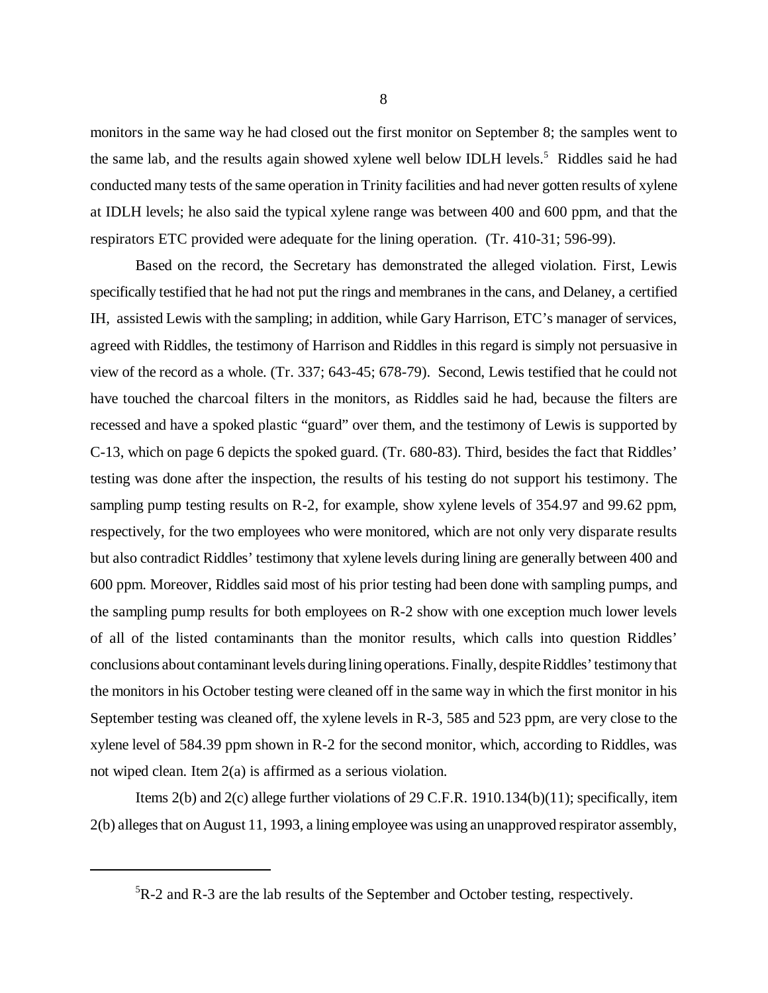monitors in the same way he had closed out the first monitor on September 8; the samples went to the same lab, and the results again showed xylene well below IDLH levels.<sup>5</sup> Riddles said he had conducted many tests of the same operation in Trinity facilities and had never gotten results of xylene at IDLH levels; he also said the typical xylene range was between 400 and 600 ppm, and that the respirators ETC provided were adequate for the lining operation. (Tr. 410-31; 596-99).

Based on the record, the Secretary has demonstrated the alleged violation. First, Lewis specifically testified that he had not put the rings and membranes in the cans, and Delaney, a certified IH, assisted Lewis with the sampling; in addition, while Gary Harrison, ETC's manager of services, agreed with Riddles, the testimony of Harrison and Riddles in this regard is simply not persuasive in view of the record as a whole. (Tr. 337; 643-45; 678-79). Second, Lewis testified that he could not have touched the charcoal filters in the monitors, as Riddles said he had, because the filters are recessed and have a spoked plastic "guard" over them, and the testimony of Lewis is supported by C-13, which on page 6 depicts the spoked guard. (Tr. 680-83). Third, besides the fact that Riddles' testing was done after the inspection, the results of his testing do not support his testimony. The sampling pump testing results on R-2, for example, show xylene levels of 354.97 and 99.62 ppm, respectively, for the two employees who were monitored, which are not only very disparate results but also contradict Riddles' testimony that xylene levels during lining are generally between 400 and 600 ppm. Moreover, Riddles said most of his prior testing had been done with sampling pumps, and the sampling pump results for both employees on R-2 show with one exception much lower levels of all of the listed contaminants than the monitor results, which calls into question Riddles' conclusions about contaminant levels during lining operations. Finally, despite Riddles' testimony that the monitors in his October testing were cleaned off in the same way in which the first monitor in his September testing was cleaned off, the xylene levels in R-3, 585 and 523 ppm, are very close to the xylene level of 584.39 ppm shown in R-2 for the second monitor, which, according to Riddles, was not wiped clean. Item 2(a) is affirmed as a serious violation.

Items 2(b) and 2(c) allege further violations of 29 C.F.R. 1910.134(b)(11); specifically, item 2(b) alleges that on August 11, 1993, a lining employee was using an unapproved respirator assembly,

<sup>5</sup>R-2 and R-3 are the lab results of the September and October testing, respectively.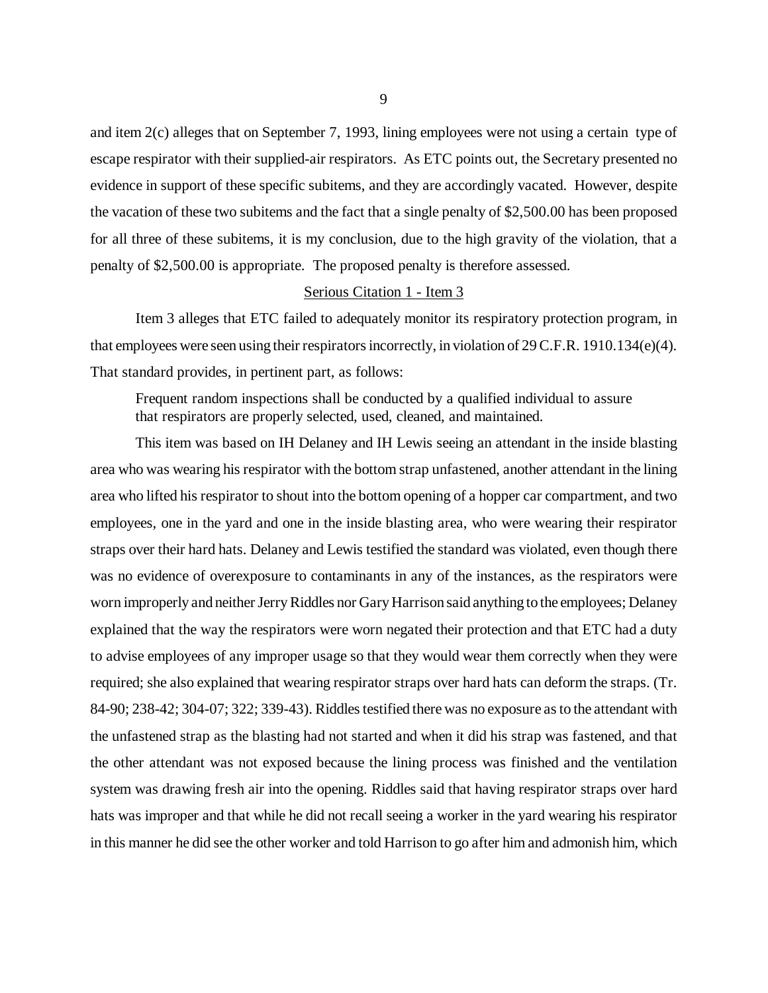and item 2(c) alleges that on September 7, 1993, lining employees were not using a certain type of escape respirator with their supplied-air respirators. As ETC points out, the Secretary presented no evidence in support of these specific subitems, and they are accordingly vacated. However, despite the vacation of these two subitems and the fact that a single penalty of \$2,500.00 has been proposed for all three of these subitems, it is my conclusion, due to the high gravity of the violation, that a penalty of \$2,500.00 is appropriate. The proposed penalty is therefore assessed.

# Serious Citation 1 - Item 3

Item 3 alleges that ETC failed to adequately monitor its respiratory protection program, in that employees were seen using their respirators incorrectly, in violation of 29 C.F.R. 1910.134(e)(4). That standard provides, in pertinent part, as follows:

Frequent random inspections shall be conducted by a qualified individual to assure that respirators are properly selected, used, cleaned, and maintained.

This item was based on IH Delaney and IH Lewis seeing an attendant in the inside blasting area who was wearing his respirator with the bottom strap unfastened, another attendant in the lining area who lifted his respirator to shout into the bottom opening of a hopper car compartment, and two employees, one in the yard and one in the inside blasting area, who were wearing their respirator straps over their hard hats. Delaney and Lewis testified the standard was violated, even though there was no evidence of overexposure to contaminants in any of the instances, as the respirators were worn improperly and neither Jerry Riddles nor Gary Harrison said anything to the employees; Delaney explained that the way the respirators were worn negated their protection and that ETC had a duty to advise employees of any improper usage so that they would wear them correctly when they were required; she also explained that wearing respirator straps over hard hats can deform the straps. (Tr. 84-90; 238-42; 304-07; 322; 339-43). Riddles testified there was no exposure as to the attendant with the unfastened strap as the blasting had not started and when it did his strap was fastened, and that the other attendant was not exposed because the lining process was finished and the ventilation system was drawing fresh air into the opening. Riddles said that having respirator straps over hard hats was improper and that while he did not recall seeing a worker in the yard wearing his respirator in this manner he did see the other worker and told Harrison to go after him and admonish him, which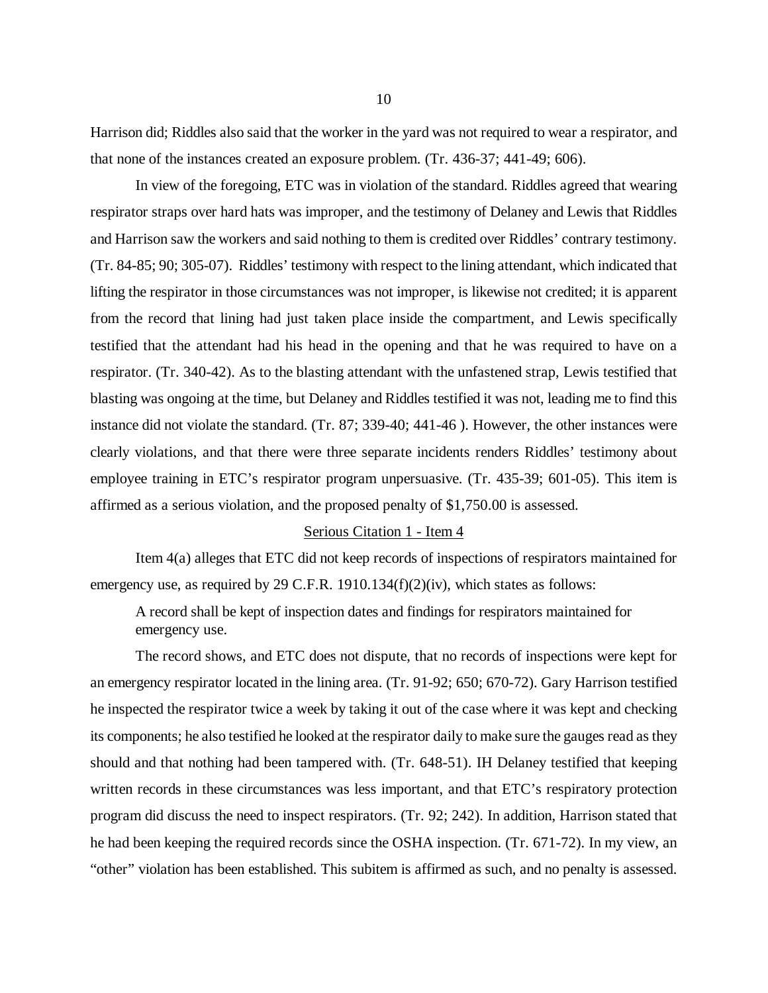Harrison did; Riddles also said that the worker in the yard was not required to wear a respirator, and that none of the instances created an exposure problem. (Tr. 436-37; 441-49; 606).

In view of the foregoing, ETC was in violation of the standard. Riddles agreed that wearing respirator straps over hard hats was improper, and the testimony of Delaney and Lewis that Riddles and Harrison saw the workers and said nothing to them is credited over Riddles' contrary testimony. (Tr. 84-85; 90; 305-07). Riddles' testimony with respect to the lining attendant, which indicated that lifting the respirator in those circumstances was not improper, is likewise not credited; it is apparent from the record that lining had just taken place inside the compartment, and Lewis specifically testified that the attendant had his head in the opening and that he was required to have on a respirator. (Tr. 340-42). As to the blasting attendant with the unfastened strap, Lewis testified that blasting was ongoing at the time, but Delaney and Riddles testified it was not, leading me to find this instance did not violate the standard. (Tr. 87; 339-40; 441-46 ). However, the other instances were clearly violations, and that there were three separate incidents renders Riddles' testimony about employee training in ETC's respirator program unpersuasive. (Tr. 435-39; 601-05). This item is affirmed as a serious violation, and the proposed penalty of \$1,750.00 is assessed.

### Serious Citation 1 - Item 4

Item 4(a) alleges that ETC did not keep records of inspections of respirators maintained for emergency use, as required by 29 C.F.R. 1910.134(f)(2)(iv), which states as follows:

A record shall be kept of inspection dates and findings for respirators maintained for emergency use.

The record shows, and ETC does not dispute, that no records of inspections were kept for an emergency respirator located in the lining area. (Tr. 91-92; 650; 670-72). Gary Harrison testified he inspected the respirator twice a week by taking it out of the case where it was kept and checking its components; he also testified he looked at the respirator daily to make sure the gauges read as they should and that nothing had been tampered with. (Tr. 648-51). IH Delaney testified that keeping written records in these circumstances was less important, and that ETC's respiratory protection program did discuss the need to inspect respirators. (Tr. 92; 242). In addition, Harrison stated that he had been keeping the required records since the OSHA inspection. (Tr. 671-72). In my view, an "other" violation has been established. This subitem is affirmed as such, and no penalty is assessed.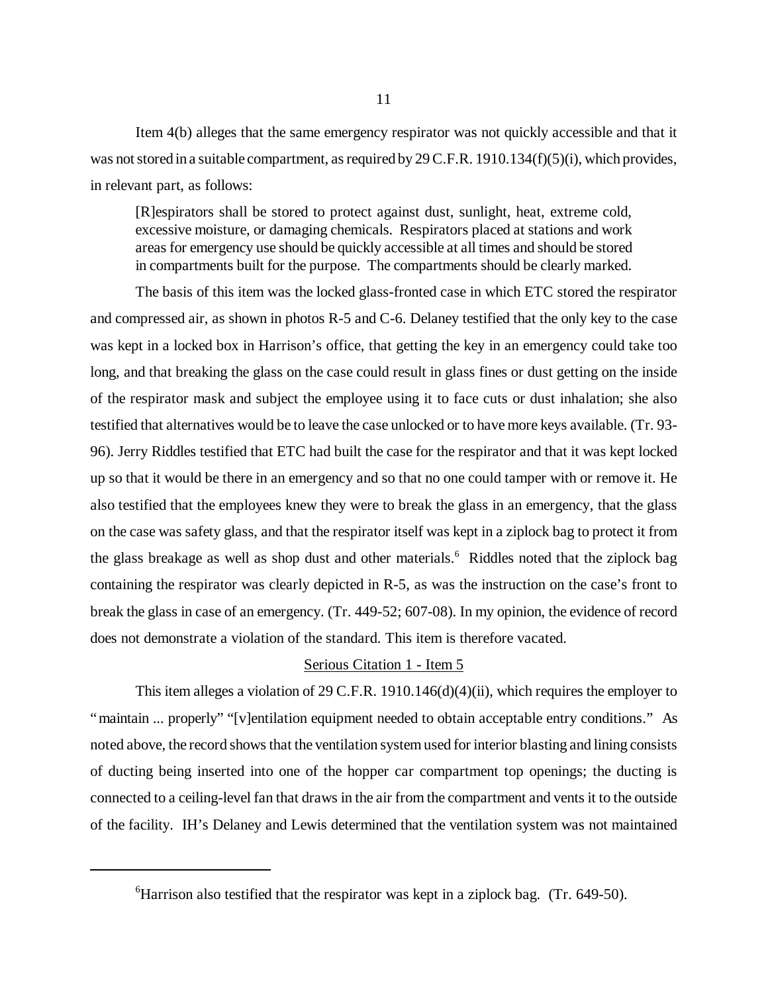Item 4(b) alleges that the same emergency respirator was not quickly accessible and that it was not stored in a suitable compartment, as required by 29 C.F.R. 1910.134(f)(5)(i), which provides, in relevant part, as follows:

[R]espirators shall be stored to protect against dust, sunlight, heat, extreme cold, excessive moisture, or damaging chemicals. Respirators placed at stations and work areas for emergency use should be quickly accessible at all times and should be stored in compartments built for the purpose. The compartments should be clearly marked.

The basis of this item was the locked glass-fronted case in which ETC stored the respirator and compressed air, as shown in photos R-5 and C-6. Delaney testified that the only key to the case was kept in a locked box in Harrison's office, that getting the key in an emergency could take too long, and that breaking the glass on the case could result in glass fines or dust getting on the inside of the respirator mask and subject the employee using it to face cuts or dust inhalation; she also testified that alternatives would be to leave the case unlocked or to have more keys available. (Tr. 93- 96). Jerry Riddles testified that ETC had built the case for the respirator and that it was kept locked up so that it would be there in an emergency and so that no one could tamper with or remove it. He also testified that the employees knew they were to break the glass in an emergency, that the glass on the case was safety glass, and that the respirator itself was kept in a ziplock bag to protect it from the glass breakage as well as shop dust and other materials.<sup>6</sup> Riddles noted that the ziplock bag containing the respirator was clearly depicted in R-5, as was the instruction on the case's front to break the glass in case of an emergency. (Tr. 449-52; 607-08). In my opinion, the evidence of record does not demonstrate a violation of the standard. This item is therefore vacated.

# Serious Citation 1 - Item 5

This item alleges a violation of 29 C.F.R. 1910.146(d)(4)(ii), which requires the employer to "maintain ... properly" "[v]entilation equipment needed to obtain acceptable entry conditions." As noted above, the record shows that the ventilation system used for interior blasting and lining consists of ducting being inserted into one of the hopper car compartment top openings; the ducting is connected to a ceiling-level fan that draws in the air from the compartment and vents it to the outside of the facility. IH's Delaney and Lewis determined that the ventilation system was not maintained

 ${}^{6}$ Harrison also testified that the respirator was kept in a ziplock bag. (Tr. 649-50).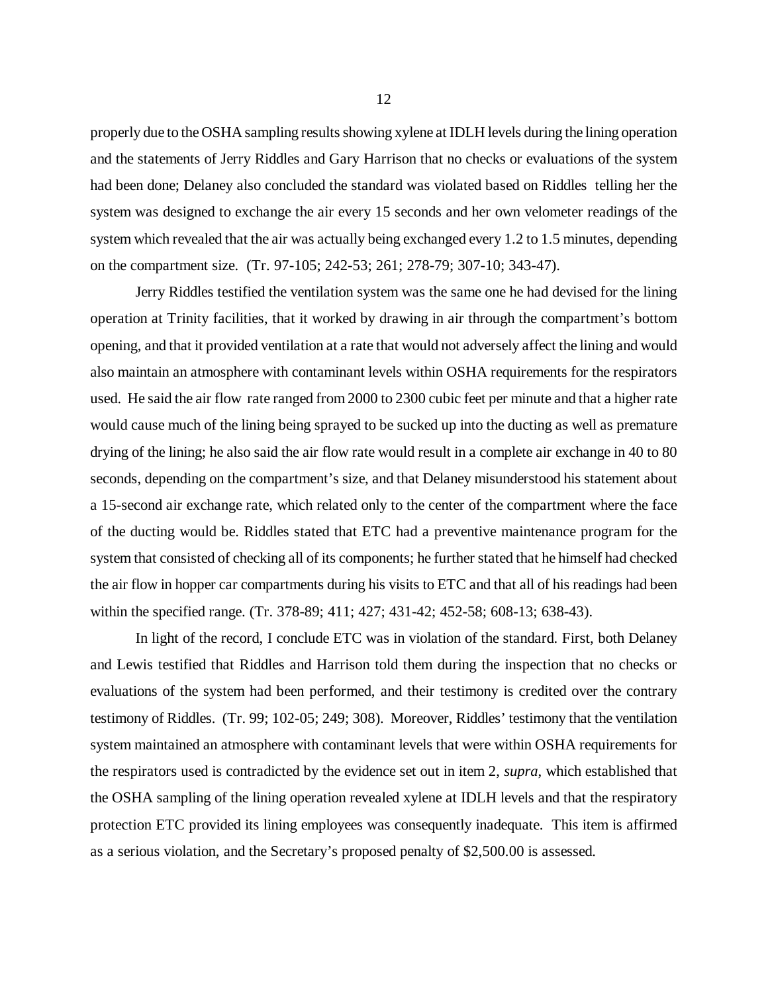properly due to the OSHA sampling results showing xylene at IDLH levels during the lining operation and the statements of Jerry Riddles and Gary Harrison that no checks or evaluations of the system had been done; Delaney also concluded the standard was violated based on Riddles telling her the system was designed to exchange the air every 15 seconds and her own velometer readings of the system which revealed that the air was actually being exchanged every 1.2 to 1.5 minutes, depending on the compartment size. (Tr. 97-105; 242-53; 261; 278-79; 307-10; 343-47).

Jerry Riddles testified the ventilation system was the same one he had devised for the lining operation at Trinity facilities, that it worked by drawing in air through the compartment's bottom opening, and that it provided ventilation at a rate that would not adversely affect the lining and would also maintain an atmosphere with contaminant levels within OSHA requirements for the respirators used. He said the air flow rate ranged from 2000 to 2300 cubic feet per minute and that a higher rate would cause much of the lining being sprayed to be sucked up into the ducting as well as premature drying of the lining; he also said the air flow rate would result in a complete air exchange in 40 to 80 seconds, depending on the compartment's size, and that Delaney misunderstood his statement about a 15-second air exchange rate, which related only to the center of the compartment where the face of the ducting would be. Riddles stated that ETC had a preventive maintenance program for the system that consisted of checking all of its components; he further stated that he himself had checked the air flow in hopper car compartments during his visits to ETC and that all of his readings had been within the specified range. (Tr. 378-89; 411; 427; 431-42; 452-58; 608-13; 638-43).

In light of the record, I conclude ETC was in violation of the standard. First, both Delaney and Lewis testified that Riddles and Harrison told them during the inspection that no checks or evaluations of the system had been performed, and their testimony is credited over the contrary testimony of Riddles. (Tr. 99; 102-05; 249; 308). Moreover, Riddles' testimony that the ventilation system maintained an atmosphere with contaminant levels that were within OSHA requirements for the respirators used is contradicted by the evidence set out in item 2, *supra*, which established that the OSHA sampling of the lining operation revealed xylene at IDLH levels and that the respiratory protection ETC provided its lining employees was consequently inadequate. This item is affirmed as a serious violation, and the Secretary's proposed penalty of \$2,500.00 is assessed.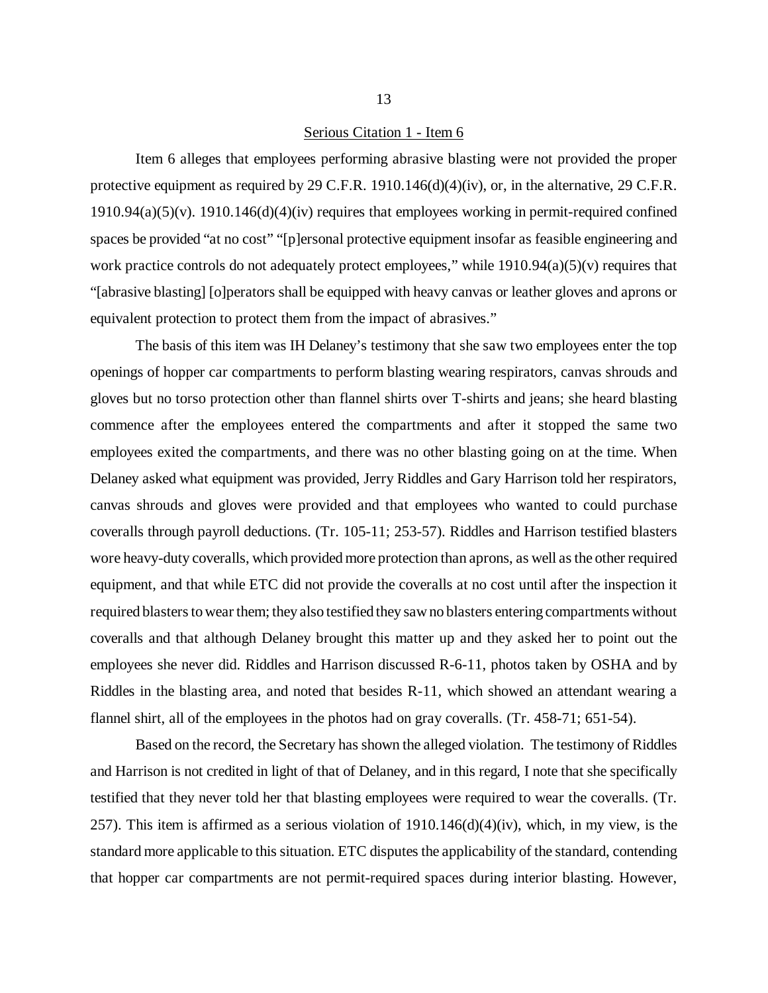#### Serious Citation 1 - Item 6

Item 6 alleges that employees performing abrasive blasting were not provided the proper protective equipment as required by 29 C.F.R. 1910.146(d)(4)(iv), or, in the alternative, 29 C.F.R. 1910.94(a)(5)(v). 1910.146(d)(4)(iv) requires that employees working in permit-required confined spaces be provided "at no cost" "[p]ersonal protective equipment insofar as feasible engineering and work practice controls do not adequately protect employees," while 1910.94(a)(5)(v) requires that "[abrasive blasting] [o]perators shall be equipped with heavy canvas or leather gloves and aprons or equivalent protection to protect them from the impact of abrasives."

The basis of this item was IH Delaney's testimony that she saw two employees enter the top openings of hopper car compartments to perform blasting wearing respirators, canvas shrouds and gloves but no torso protection other than flannel shirts over T-shirts and jeans; she heard blasting commence after the employees entered the compartments and after it stopped the same two employees exited the compartments, and there was no other blasting going on at the time. When Delaney asked what equipment was provided, Jerry Riddles and Gary Harrison told her respirators, canvas shrouds and gloves were provided and that employees who wanted to could purchase coveralls through payroll deductions. (Tr. 105-11; 253-57). Riddles and Harrison testified blasters wore heavy-duty coveralls, which provided more protection than aprons, as well as the other required equipment, and that while ETC did not provide the coveralls at no cost until after the inspection it required blasters to wear them; they also testified they saw no blasters entering compartments without coveralls and that although Delaney brought this matter up and they asked her to point out the employees she never did. Riddles and Harrison discussed R-6-11, photos taken by OSHA and by Riddles in the blasting area, and noted that besides R-11, which showed an attendant wearing a flannel shirt, all of the employees in the photos had on gray coveralls. (Tr. 458-71; 651-54).

Based on the record, the Secretary has shown the alleged violation. The testimony of Riddles and Harrison is not credited in light of that of Delaney, and in this regard, I note that she specifically testified that they never told her that blasting employees were required to wear the coveralls. (Tr. 257). This item is affirmed as a serious violation of  $1910.146(d)(4)(iv)$ , which, in my view, is the standard more applicable to this situation. ETC disputes the applicability of the standard, contending that hopper car compartments are not permit-required spaces during interior blasting. However,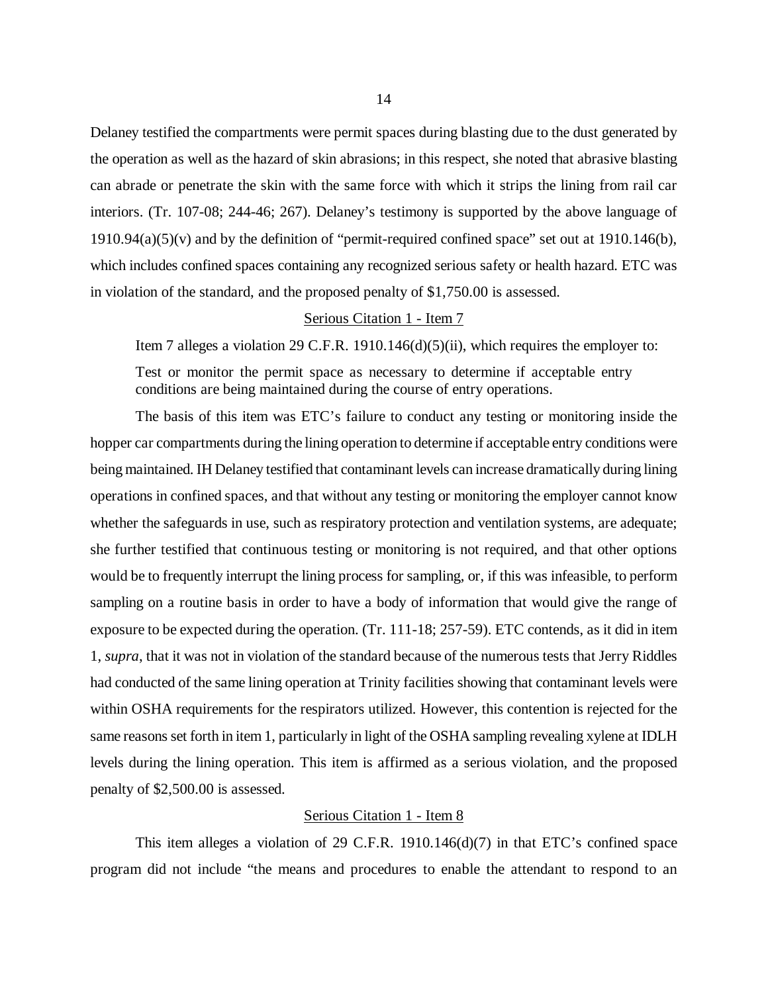Delaney testified the compartments were permit spaces during blasting due to the dust generated by the operation as well as the hazard of skin abrasions; in this respect, she noted that abrasive blasting can abrade or penetrate the skin with the same force with which it strips the lining from rail car interiors. (Tr. 107-08; 244-46; 267). Delaney's testimony is supported by the above language of 1910.94(a)(5)(v) and by the definition of "permit-required confined space" set out at 1910.146(b), which includes confined spaces containing any recognized serious safety or health hazard. ETC was in violation of the standard, and the proposed penalty of \$1,750.00 is assessed.

### Serious Citation 1 - Item 7

Item 7 alleges a violation 29 C.F.R. 1910.146 $(d)(5)(ii)$ , which requires the employer to:

Test or monitor the permit space as necessary to determine if acceptable entry conditions are being maintained during the course of entry operations.

The basis of this item was ETC's failure to conduct any testing or monitoring inside the hopper car compartments during the lining operation to determine if acceptable entry conditions were being maintained. IH Delaney testified that contaminant levels can increase dramatically during lining operations in confined spaces, and that without any testing or monitoring the employer cannot know whether the safeguards in use, such as respiratory protection and ventilation systems, are adequate; she further testified that continuous testing or monitoring is not required, and that other options would be to frequently interrupt the lining process for sampling, or, if this was infeasible, to perform sampling on a routine basis in order to have a body of information that would give the range of exposure to be expected during the operation. (Tr. 111-18; 257-59). ETC contends, as it did in item 1, *supra*, that it was not in violation of the standard because of the numerous tests that Jerry Riddles had conducted of the same lining operation at Trinity facilities showing that contaminant levels were within OSHA requirements for the respirators utilized. However, this contention is rejected for the same reasons set forth in item 1, particularly in light of the OSHA sampling revealing xylene at IDLH levels during the lining operation. This item is affirmed as a serious violation, and the proposed penalty of \$2,500.00 is assessed.

# Serious Citation 1 - Item 8

This item alleges a violation of 29 C.F.R. 1910.146(d)(7) in that ETC's confined space program did not include "the means and procedures to enable the attendant to respond to an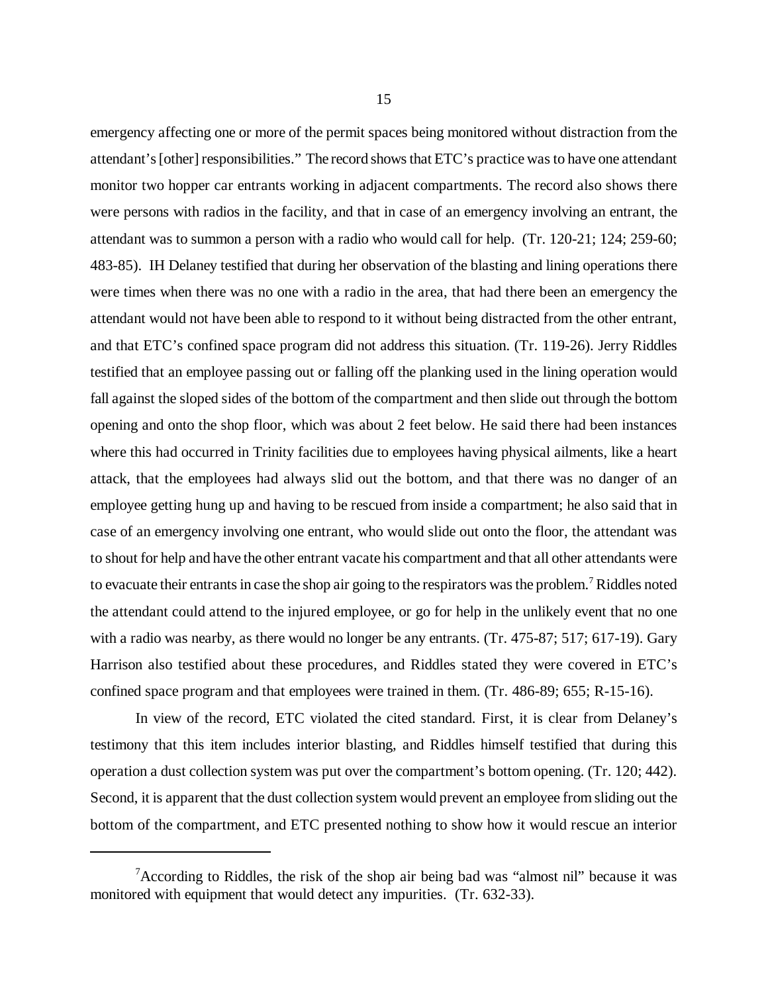emergency affecting one or more of the permit spaces being monitored without distraction from the attendant's [other] responsibilities." The record shows that ETC's practice was to have one attendant monitor two hopper car entrants working in adjacent compartments. The record also shows there were persons with radios in the facility, and that in case of an emergency involving an entrant, the attendant was to summon a person with a radio who would call for help. (Tr. 120-21; 124; 259-60; 483-85). IH Delaney testified that during her observation of the blasting and lining operations there were times when there was no one with a radio in the area, that had there been an emergency the attendant would not have been able to respond to it without being distracted from the other entrant, and that ETC's confined space program did not address this situation. (Tr. 119-26). Jerry Riddles testified that an employee passing out or falling off the planking used in the lining operation would fall against the sloped sides of the bottom of the compartment and then slide out through the bottom opening and onto the shop floor, which was about 2 feet below. He said there had been instances where this had occurred in Trinity facilities due to employees having physical ailments, like a heart attack, that the employees had always slid out the bottom, and that there was no danger of an employee getting hung up and having to be rescued from inside a compartment; he also said that in case of an emergency involving one entrant, who would slide out onto the floor, the attendant was to shout for help and have the other entrant vacate his compartment and that all other attendants were to evacuate their entrants in case the shop air going to the respirators was the problem.<sup>7</sup> Riddles noted the attendant could attend to the injured employee, or go for help in the unlikely event that no one with a radio was nearby, as there would no longer be any entrants. (Tr. 475-87; 517; 617-19). Gary Harrison also testified about these procedures, and Riddles stated they were covered in ETC's confined space program and that employees were trained in them. (Tr. 486-89; 655; R-15-16).

In view of the record, ETC violated the cited standard. First, it is clear from Delaney's testimony that this item includes interior blasting, and Riddles himself testified that during this operation a dust collection system was put over the compartment's bottom opening. (Tr. 120; 442). Second, it is apparent that the dust collection system would prevent an employee from sliding out the bottom of the compartment, and ETC presented nothing to show how it would rescue an interior

<sup>&</sup>lt;sup>7</sup>According to Riddles, the risk of the shop air being bad was "almost nil" because it was monitored with equipment that would detect any impurities. (Tr. 632-33).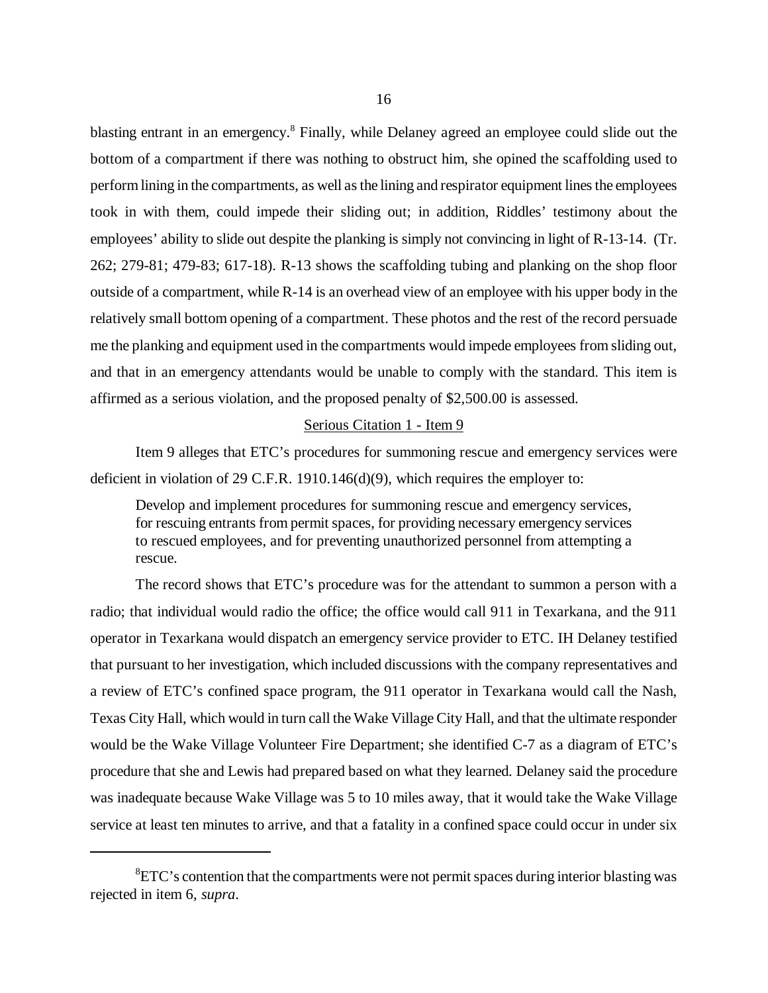blasting entrant in an emergency.<sup>8</sup> Finally, while Delaney agreed an employee could slide out the bottom of a compartment if there was nothing to obstruct him, she opined the scaffolding used to perform lining in the compartments, as well as the lining and respirator equipment lines the employees took in with them, could impede their sliding out; in addition, Riddles' testimony about the employees' ability to slide out despite the planking is simply not convincing in light of R-13-14. (Tr. 262; 279-81; 479-83; 617-18). R-13 shows the scaffolding tubing and planking on the shop floor outside of a compartment, while R-14 is an overhead view of an employee with his upper body in the relatively small bottom opening of a compartment. These photos and the rest of the record persuade me the planking and equipment used in the compartments would impede employees from sliding out, and that in an emergency attendants would be unable to comply with the standard. This item is affirmed as a serious violation, and the proposed penalty of \$2,500.00 is assessed.

#### Serious Citation 1 - Item 9

Item 9 alleges that ETC's procedures for summoning rescue and emergency services were deficient in violation of 29 C.F.R. 1910.146(d)(9), which requires the employer to:

Develop and implement procedures for summoning rescue and emergency services, for rescuing entrants from permit spaces, for providing necessary emergency services to rescued employees, and for preventing unauthorized personnel from attempting a rescue.

The record shows that ETC's procedure was for the attendant to summon a person with a radio; that individual would radio the office; the office would call 911 in Texarkana, and the 911 operator in Texarkana would dispatch an emergency service provider to ETC. IH Delaney testified that pursuant to her investigation, which included discussions with the company representatives and a review of ETC's confined space program, the 911 operator in Texarkana would call the Nash, Texas City Hall, which would in turn call the Wake Village City Hall, and that the ultimate responder would be the Wake Village Volunteer Fire Department; she identified C-7 as a diagram of ETC's procedure that she and Lewis had prepared based on what they learned. Delaney said the procedure was inadequate because Wake Village was 5 to 10 miles away, that it would take the Wake Village service at least ten minutes to arrive, and that a fatality in a confined space could occur in under six

 ${}^{8}$ ETC's contention that the compartments were not permit spaces during interior blasting was rejected in item 6, *supra*.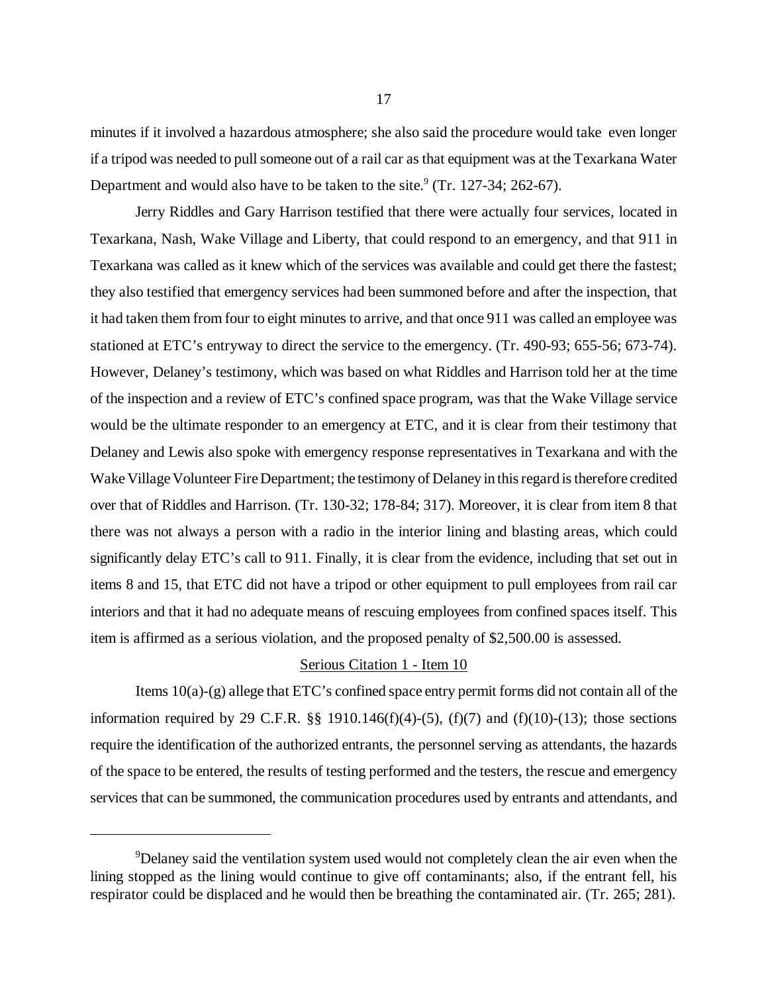minutes if it involved a hazardous atmosphere; she also said the procedure would take even longer if a tripod was needed to pull someone out of a rail car as that equipment was at the Texarkana Water Department and would also have to be taken to the site. $9$  (Tr. 127-34; 262-67).

Jerry Riddles and Gary Harrison testified that there were actually four services, located in Texarkana, Nash, Wake Village and Liberty, that could respond to an emergency, and that 911 in Texarkana was called as it knew which of the services was available and could get there the fastest; they also testified that emergency services had been summoned before and after the inspection, that it had taken them from four to eight minutes to arrive, and that once 911 was called an employee was stationed at ETC's entryway to direct the service to the emergency. (Tr. 490-93; 655-56; 673-74). However, Delaney's testimony, which was based on what Riddles and Harrison told her at the time of the inspection and a review of ETC's confined space program, was that the Wake Village service would be the ultimate responder to an emergency at ETC, and it is clear from their testimony that Delaney and Lewis also spoke with emergency response representatives in Texarkana and with the Wake Village Volunteer Fire Department; the testimony of Delaney in this regard is therefore credited over that of Riddles and Harrison. (Tr. 130-32; 178-84; 317). Moreover, it is clear from item 8 that there was not always a person with a radio in the interior lining and blasting areas, which could significantly delay ETC's call to 911. Finally, it is clear from the evidence, including that set out in items 8 and 15, that ETC did not have a tripod or other equipment to pull employees from rail car interiors and that it had no adequate means of rescuing employees from confined spaces itself. This item is affirmed as a serious violation, and the proposed penalty of \$2,500.00 is assessed.

## Serious Citation 1 - Item 10

Items 10(a)-(g) allege that ETC's confined space entry permit forms did not contain all of the information required by 29 C.F.R.  $\S$  1910.146(f)(4)-(5), (f)(7) and (f)(10)-(13); those sections require the identification of the authorized entrants, the personnel serving as attendants, the hazards of the space to be entered, the results of testing performed and the testers, the rescue and emergency services that can be summoned, the communication procedures used by entrants and attendants, and

<sup>9</sup>Delaney said the ventilation system used would not completely clean the air even when the lining stopped as the lining would continue to give off contaminants; also, if the entrant fell, his respirator could be displaced and he would then be breathing the contaminated air. (Tr. 265; 281).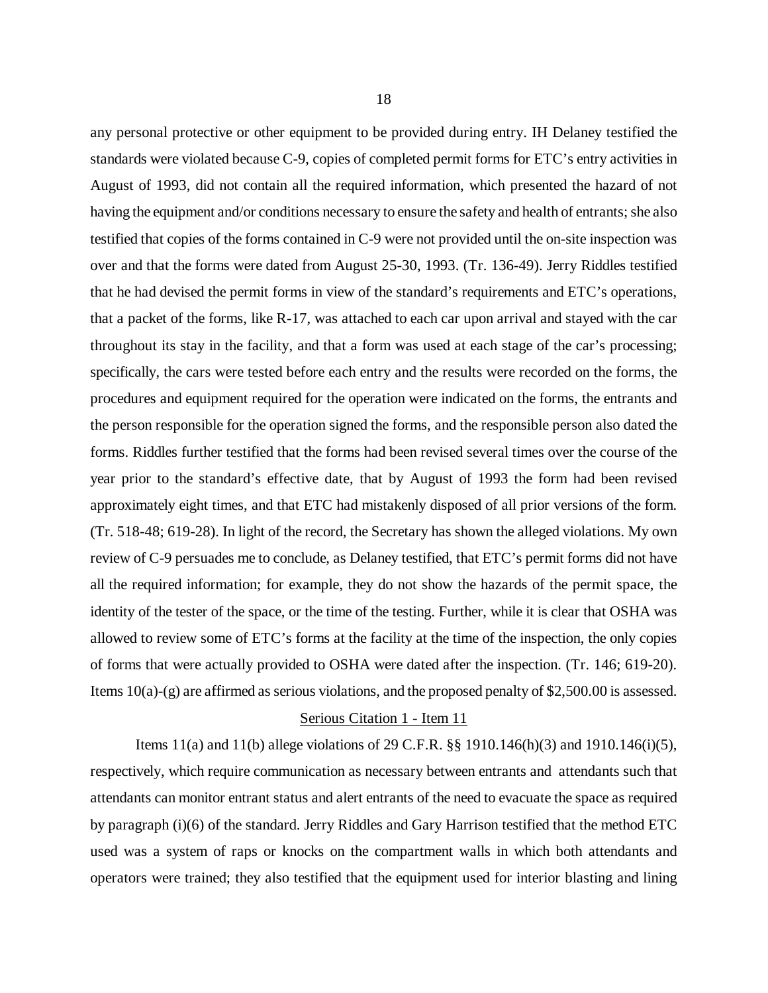any personal protective or other equipment to be provided during entry. IH Delaney testified the standards were violated because C-9, copies of completed permit forms for ETC's entry activities in August of 1993, did not contain all the required information, which presented the hazard of not having the equipment and/or conditions necessary to ensure the safety and health of entrants; she also testified that copies of the forms contained in C-9 were not provided until the on-site inspection was over and that the forms were dated from August 25-30, 1993. (Tr. 136-49). Jerry Riddles testified that he had devised the permit forms in view of the standard's requirements and ETC's operations, that a packet of the forms, like R-17, was attached to each car upon arrival and stayed with the car throughout its stay in the facility, and that a form was used at each stage of the car's processing; specifically, the cars were tested before each entry and the results were recorded on the forms, the procedures and equipment required for the operation were indicated on the forms, the entrants and the person responsible for the operation signed the forms, and the responsible person also dated the forms. Riddles further testified that the forms had been revised several times over the course of the year prior to the standard's effective date, that by August of 1993 the form had been revised approximately eight times, and that ETC had mistakenly disposed of all prior versions of the form. (Tr. 518-48; 619-28). In light of the record, the Secretary has shown the alleged violations. My own review of C-9 persuades me to conclude, as Delaney testified, that ETC's permit forms did not have all the required information; for example, they do not show the hazards of the permit space, the identity of the tester of the space, or the time of the testing. Further, while it is clear that OSHA was allowed to review some of ETC's forms at the facility at the time of the inspection, the only copies of forms that were actually provided to OSHA were dated after the inspection. (Tr. 146; 619-20). Items 10(a)-(g) are affirmed as serious violations, and the proposed penalty of \$2,500.00 is assessed.

# Serious Citation 1 - Item 11

Items 11(a) and 11(b) allege violations of 29 C.F.R. §§ 1910.146(h)(3) and 1910.146(i)(5), respectively, which require communication as necessary between entrants and attendants such that attendants can monitor entrant status and alert entrants of the need to evacuate the space as required by paragraph (i)(6) of the standard. Jerry Riddles and Gary Harrison testified that the method ETC used was a system of raps or knocks on the compartment walls in which both attendants and operators were trained; they also testified that the equipment used for interior blasting and lining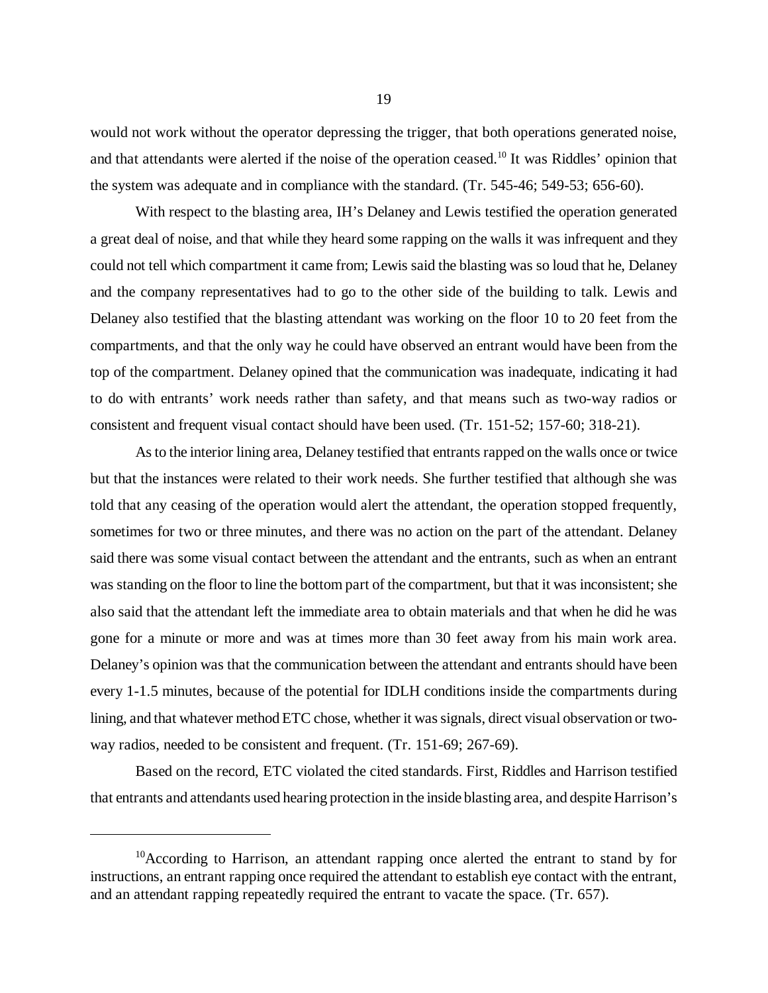would not work without the operator depressing the trigger, that both operations generated noise, and that attendants were alerted if the noise of the operation ceased.<sup>10</sup> It was Riddles' opinion that the system was adequate and in compliance with the standard. (Tr. 545-46; 549-53; 656-60).

With respect to the blasting area, IH's Delaney and Lewis testified the operation generated a great deal of noise, and that while they heard some rapping on the walls it was infrequent and they could not tell which compartment it came from; Lewis said the blasting was so loud that he, Delaney and the company representatives had to go to the other side of the building to talk. Lewis and Delaney also testified that the blasting attendant was working on the floor 10 to 20 feet from the compartments, and that the only way he could have observed an entrant would have been from the top of the compartment. Delaney opined that the communication was inadequate, indicating it had to do with entrants' work needs rather than safety, and that means such as two-way radios or consistent and frequent visual contact should have been used. (Tr. 151-52; 157-60; 318-21).

As to the interior lining area, Delaney testified that entrants rapped on the walls once or twice but that the instances were related to their work needs. She further testified that although she was told that any ceasing of the operation would alert the attendant, the operation stopped frequently, sometimes for two or three minutes, and there was no action on the part of the attendant. Delaney said there was some visual contact between the attendant and the entrants, such as when an entrant was standing on the floor to line the bottom part of the compartment, but that it was inconsistent; she also said that the attendant left the immediate area to obtain materials and that when he did he was gone for a minute or more and was at times more than 30 feet away from his main work area. Delaney's opinion was that the communication between the attendant and entrants should have been every 1-1.5 minutes, because of the potential for IDLH conditions inside the compartments during lining, and that whatever method ETC chose, whether it was signals, direct visual observation or twoway radios, needed to be consistent and frequent. (Tr. 151-69; 267-69).

Based on the record, ETC violated the cited standards. First, Riddles and Harrison testified that entrants and attendants used hearing protection in the inside blasting area, and despite Harrison's

 $10$ According to Harrison, an attendant rapping once alerted the entrant to stand by for instructions, an entrant rapping once required the attendant to establish eye contact with the entrant, and an attendant rapping repeatedly required the entrant to vacate the space. (Tr. 657).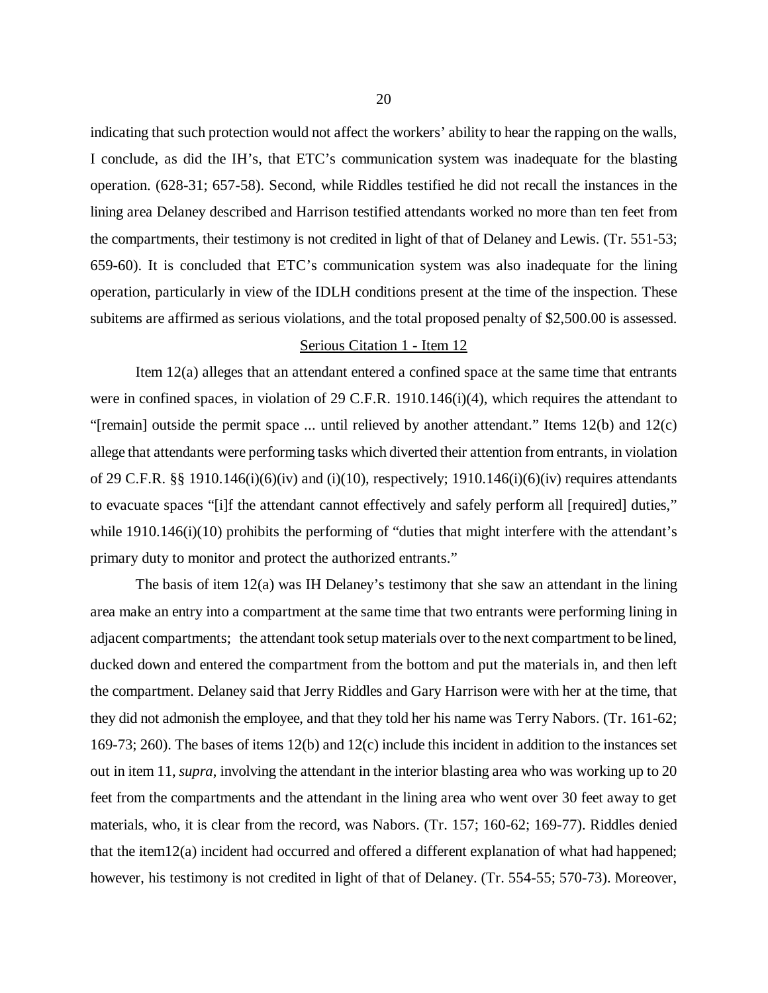indicating that such protection would not affect the workers' ability to hear the rapping on the walls, I conclude, as did the IH's, that ETC's communication system was inadequate for the blasting operation. (628-31; 657-58). Second, while Riddles testified he did not recall the instances in the lining area Delaney described and Harrison testified attendants worked no more than ten feet from the compartments, their testimony is not credited in light of that of Delaney and Lewis. (Tr. 551-53; 659-60). It is concluded that ETC's communication system was also inadequate for the lining operation, particularly in view of the IDLH conditions present at the time of the inspection. These subitems are affirmed as serious violations, and the total proposed penalty of \$2,500.00 is assessed.

# Serious Citation 1 - Item 12

Item 12(a) alleges that an attendant entered a confined space at the same time that entrants were in confined spaces, in violation of 29 C.F.R. 1910.146(i)(4), which requires the attendant to "[remain] outside the permit space ... until relieved by another attendant." Items 12(b) and 12(c) allege that attendants were performing tasks which diverted their attention from entrants, in violation of 29 C.F.R. §§ 1910.146(i)(6)(iv) and (i)(10), respectively; 1910.146(i)(6)(iv) requires attendants to evacuate spaces "[i]f the attendant cannot effectively and safely perform all [required] duties," while 1910.146(i)(10) prohibits the performing of "duties that might interfere with the attendant's primary duty to monitor and protect the authorized entrants."

The basis of item 12(a) was IH Delaney's testimony that she saw an attendant in the lining area make an entry into a compartment at the same time that two entrants were performing lining in adjacent compartments; the attendant took setup materials over to the next compartment to be lined, ducked down and entered the compartment from the bottom and put the materials in, and then left the compartment. Delaney said that Jerry Riddles and Gary Harrison were with her at the time, that they did not admonish the employee, and that they told her his name was Terry Nabors. (Tr. 161-62; 169-73; 260). The bases of items 12(b) and 12(c) include this incident in addition to the instances set out in item 11, *supra*, involving the attendant in the interior blasting area who was working up to 20 feet from the compartments and the attendant in the lining area who went over 30 feet away to get materials, who, it is clear from the record, was Nabors. (Tr. 157; 160-62; 169-77). Riddles denied that the item12(a) incident had occurred and offered a different explanation of what had happened; however, his testimony is not credited in light of that of Delaney. (Tr. 554-55; 570-73). Moreover,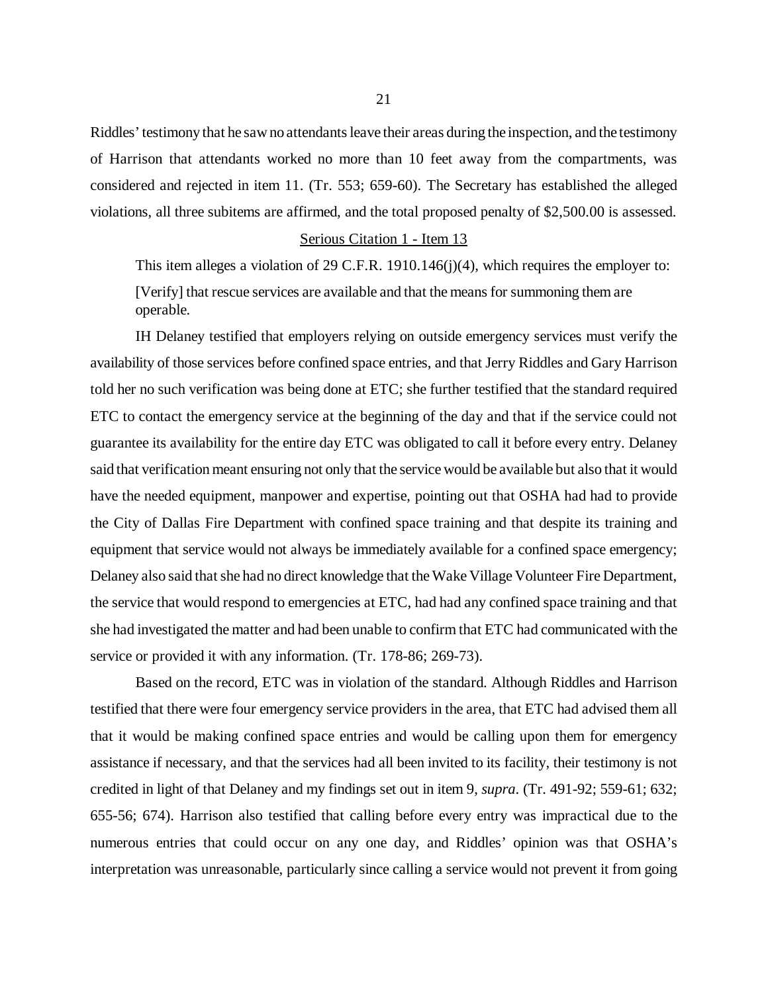Riddles' testimony that he saw no attendants leave their areas during the inspection, and the testimony of Harrison that attendants worked no more than 10 feet away from the compartments, was considered and rejected in item 11. (Tr. 553; 659-60). The Secretary has established the alleged violations, all three subitems are affirmed, and the total proposed penalty of \$2,500.00 is assessed.

#### Serious Citation 1 - Item 13

This item alleges a violation of 29 C.F.R. 1910.146(j)(4), which requires the employer to: [Verify] that rescue services are available and that the means for summoning them are operable.

IH Delaney testified that employers relying on outside emergency services must verify the availability of those services before confined space entries, and that Jerry Riddles and Gary Harrison told her no such verification was being done at ETC; she further testified that the standard required ETC to contact the emergency service at the beginning of the day and that if the service could not guarantee its availability for the entire day ETC was obligated to call it before every entry. Delaney said that verification meant ensuring not only that the service would be available but also that it would have the needed equipment, manpower and expertise, pointing out that OSHA had had to provide the City of Dallas Fire Department with confined space training and that despite its training and equipment that service would not always be immediately available for a confined space emergency; Delaney also said that she had no direct knowledge that the Wake Village Volunteer Fire Department, the service that would respond to emergencies at ETC, had had any confined space training and that she had investigated the matter and had been unable to confirm that ETC had communicated with the service or provided it with any information. (Tr. 178-86; 269-73).

Based on the record, ETC was in violation of the standard. Although Riddles and Harrison testified that there were four emergency service providers in the area, that ETC had advised them all that it would be making confined space entries and would be calling upon them for emergency assistance if necessary, and that the services had all been invited to its facility, their testimony is not credited in light of that Delaney and my findings set out in item 9, *supra*. (Tr. 491-92; 559-61; 632; 655-56; 674). Harrison also testified that calling before every entry was impractical due to the numerous entries that could occur on any one day, and Riddles' opinion was that OSHA's interpretation was unreasonable, particularly since calling a service would not prevent it from going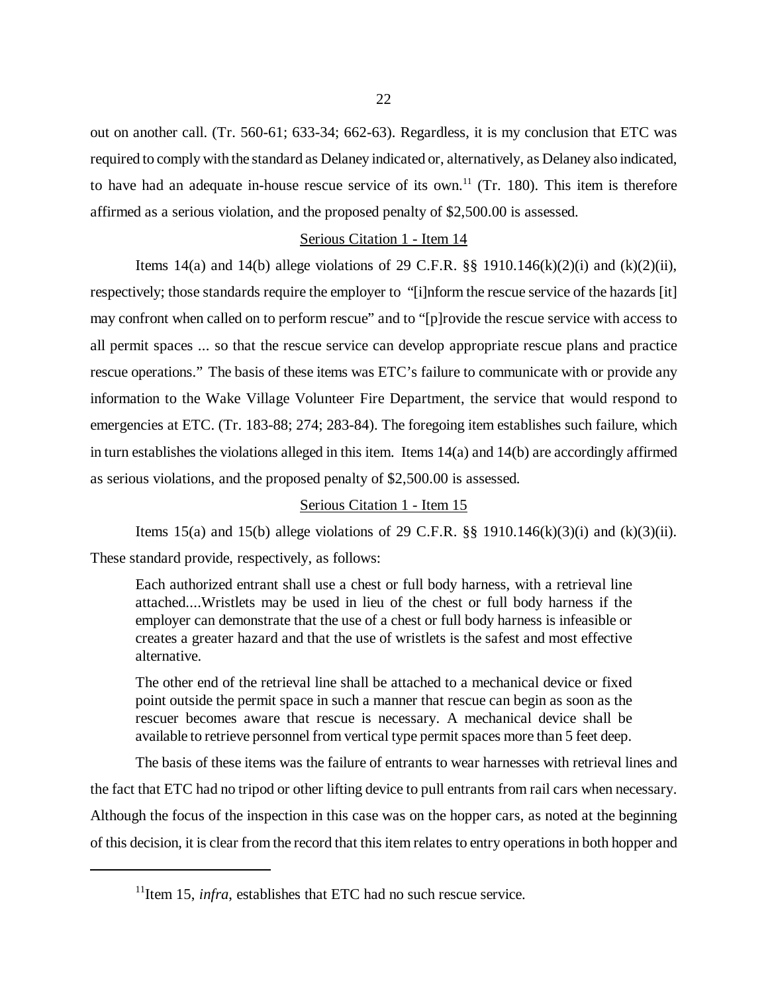out on another call. (Tr. 560-61; 633-34; 662-63). Regardless, it is my conclusion that ETC was required to comply with the standard as Delaney indicated or, alternatively, as Delaney also indicated, to have had an adequate in-house rescue service of its own.<sup>11</sup> (Tr. 180). This item is therefore affirmed as a serious violation, and the proposed penalty of \$2,500.00 is assessed.

#### Serious Citation 1 - Item 14

Items 14(a) and 14(b) allege violations of 29 C.F.R.  $\S$ § 1910.146(k)(2)(i) and (k)(2)(ii), respectively; those standards require the employer to "[i]nform the rescue service of the hazards [it] may confront when called on to perform rescue" and to "[p]rovide the rescue service with access to all permit spaces ... so that the rescue service can develop appropriate rescue plans and practice rescue operations." The basis of these items was ETC's failure to communicate with or provide any information to the Wake Village Volunteer Fire Department, the service that would respond to emergencies at ETC. (Tr. 183-88; 274; 283-84). The foregoing item establishes such failure, which in turn establishes the violations alleged in this item. Items 14(a) and 14(b) are accordingly affirmed as serious violations, and the proposed penalty of \$2,500.00 is assessed.

### Serious Citation 1 - Item 15

Items 15(a) and 15(b) allege violations of 29 C.F.R.  $\S$ § 1910.146(k)(3)(i) and (k)(3)(ii). These standard provide, respectively, as follows:

Each authorized entrant shall use a chest or full body harness, with a retrieval line attached....Wristlets may be used in lieu of the chest or full body harness if the employer can demonstrate that the use of a chest or full body harness is infeasible or creates a greater hazard and that the use of wristlets is the safest and most effective alternative.

The other end of the retrieval line shall be attached to a mechanical device or fixed point outside the permit space in such a manner that rescue can begin as soon as the rescuer becomes aware that rescue is necessary. A mechanical device shall be available to retrieve personnel from vertical type permit spaces more than 5 feet deep.

The basis of these items was the failure of entrants to wear harnesses with retrieval lines and the fact that ETC had no tripod or other lifting device to pull entrants from rail cars when necessary. Although the focus of the inspection in this case was on the hopper cars, as noted at the beginning of this decision, it is clear from the record that this item relates to entry operations in both hopper and

 $11$ <sup>11</sup>Item 15, *infra*, establishes that ETC had no such rescue service.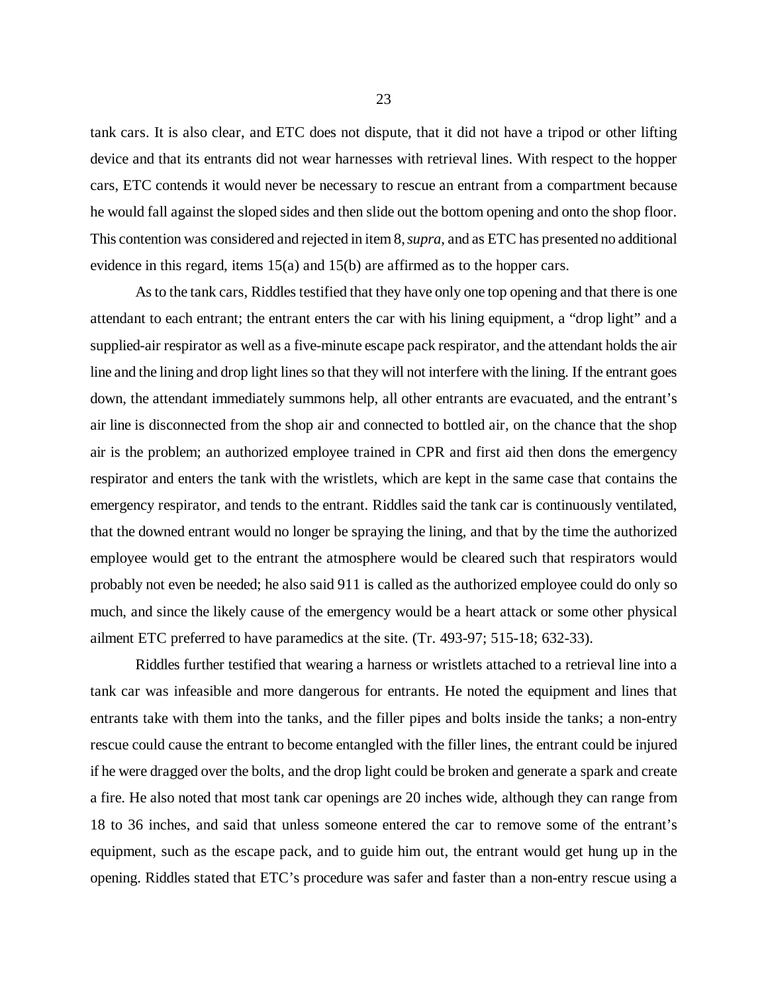tank cars. It is also clear, and ETC does not dispute, that it did not have a tripod or other lifting device and that its entrants did not wear harnesses with retrieval lines. With respect to the hopper cars, ETC contends it would never be necessary to rescue an entrant from a compartment because he would fall against the sloped sides and then slide out the bottom opening and onto the shop floor. This contention was considered and rejected in item 8, *supra*, and as ETC has presented no additional evidence in this regard, items 15(a) and 15(b) are affirmed as to the hopper cars.

As to the tank cars, Riddles testified that they have only one top opening and that there is one attendant to each entrant; the entrant enters the car with his lining equipment, a "drop light" and a supplied-air respirator as well as a five-minute escape pack respirator, and the attendant holds the air line and the lining and drop light lines so that they will not interfere with the lining. If the entrant goes down, the attendant immediately summons help, all other entrants are evacuated, and the entrant's air line is disconnected from the shop air and connected to bottled air, on the chance that the shop air is the problem; an authorized employee trained in CPR and first aid then dons the emergency respirator and enters the tank with the wristlets, which are kept in the same case that contains the emergency respirator, and tends to the entrant. Riddles said the tank car is continuously ventilated, that the downed entrant would no longer be spraying the lining, and that by the time the authorized employee would get to the entrant the atmosphere would be cleared such that respirators would probably not even be needed; he also said 911 is called as the authorized employee could do only so much, and since the likely cause of the emergency would be a heart attack or some other physical ailment ETC preferred to have paramedics at the site. (Tr. 493-97; 515-18; 632-33).

Riddles further testified that wearing a harness or wristlets attached to a retrieval line into a tank car was infeasible and more dangerous for entrants. He noted the equipment and lines that entrants take with them into the tanks, and the filler pipes and bolts inside the tanks; a non-entry rescue could cause the entrant to become entangled with the filler lines, the entrant could be injured if he were dragged over the bolts, and the drop light could be broken and generate a spark and create a fire. He also noted that most tank car openings are 20 inches wide, although they can range from 18 to 36 inches, and said that unless someone entered the car to remove some of the entrant's equipment, such as the escape pack, and to guide him out, the entrant would get hung up in the opening. Riddles stated that ETC's procedure was safer and faster than a non-entry rescue using a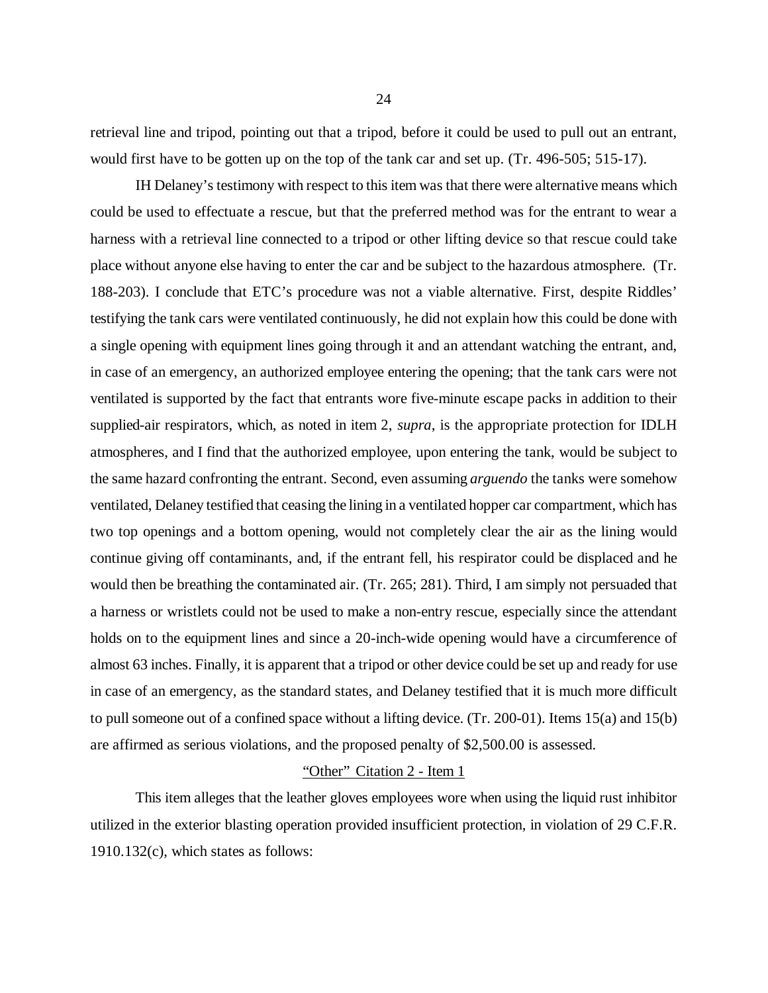retrieval line and tripod, pointing out that a tripod, before it could be used to pull out an entrant, would first have to be gotten up on the top of the tank car and set up. (Tr. 496-505; 515-17).

IH Delaney's testimony with respect to this item was that there were alternative means which could be used to effectuate a rescue, but that the preferred method was for the entrant to wear a harness with a retrieval line connected to a tripod or other lifting device so that rescue could take place without anyone else having to enter the car and be subject to the hazardous atmosphere. (Tr. 188-203). I conclude that ETC's procedure was not a viable alternative. First, despite Riddles' testifying the tank cars were ventilated continuously, he did not explain how this could be done with a single opening with equipment lines going through it and an attendant watching the entrant, and, in case of an emergency, an authorized employee entering the opening; that the tank cars were not ventilated is supported by the fact that entrants wore five-minute escape packs in addition to their supplied-air respirators, which, as noted in item 2, *supra*, is the appropriate protection for IDLH atmospheres, and I find that the authorized employee, upon entering the tank, would be subject to the same hazard confronting the entrant. Second, even assuming *arguendo* the tanks were somehow ventilated, Delaney testified that ceasing the lining in a ventilated hopper car compartment, which has two top openings and a bottom opening, would not completely clear the air as the lining would continue giving off contaminants, and, if the entrant fell, his respirator could be displaced and he would then be breathing the contaminated air. (Tr. 265; 281). Third, I am simply not persuaded that a harness or wristlets could not be used to make a non-entry rescue, especially since the attendant holds on to the equipment lines and since a 20-inch-wide opening would have a circumference of almost 63 inches. Finally, it is apparent that a tripod or other device could be set up and ready for use in case of an emergency, as the standard states, and Delaney testified that it is much more difficult to pull someone out of a confined space without a lifting device. (Tr. 200-01). Items 15(a) and 15(b) are affirmed as serious violations, and the proposed penalty of \$2,500.00 is assessed.

## "Other" Citation 2 - Item 1

This item alleges that the leather gloves employees wore when using the liquid rust inhibitor utilized in the exterior blasting operation provided insufficient protection, in violation of 29 C.F.R. 1910.132(c), which states as follows: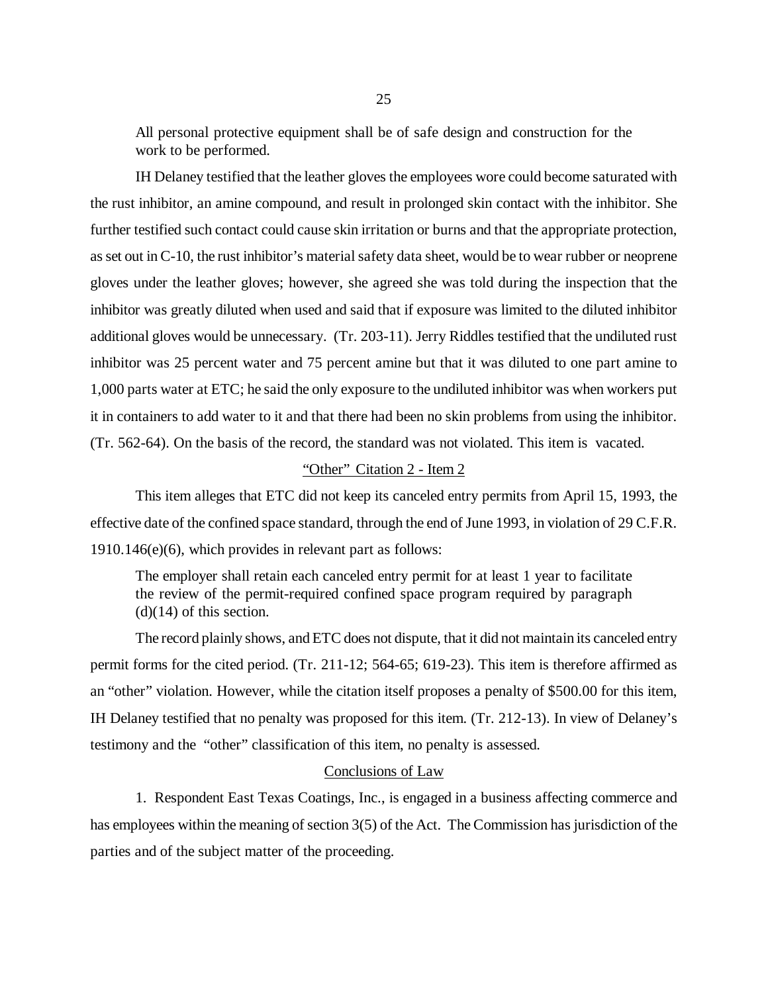All personal protective equipment shall be of safe design and construction for the work to be performed.

IH Delaney testified that the leather gloves the employees wore could become saturated with the rust inhibitor, an amine compound, and result in prolonged skin contact with the inhibitor. She further testified such contact could cause skin irritation or burns and that the appropriate protection, as set out in C-10, the rust inhibitor's material safety data sheet, would be to wear rubber or neoprene gloves under the leather gloves; however, she agreed she was told during the inspection that the inhibitor was greatly diluted when used and said that if exposure was limited to the diluted inhibitor additional gloves would be unnecessary. (Tr. 203-11). Jerry Riddles testified that the undiluted rust inhibitor was 25 percent water and 75 percent amine but that it was diluted to one part amine to 1,000 parts water at ETC; he said the only exposure to the undiluted inhibitor was when workers put it in containers to add water to it and that there had been no skin problems from using the inhibitor. (Tr. 562-64). On the basis of the record, the standard was not violated. This item is vacated.

# "Other" Citation 2 - Item 2

This item alleges that ETC did not keep its canceled entry permits from April 15, 1993, the effective date of the confined space standard, through the end of June 1993, in violation of 29 C.F.R. 1910.146(e)(6), which provides in relevant part as follows:

The employer shall retain each canceled entry permit for at least 1 year to facilitate the review of the permit-required confined space program required by paragraph  $(d)(14)$  of this section.

The record plainly shows, and ETC does not dispute, that it did not maintain its canceled entry permit forms for the cited period. (Tr. 211-12; 564-65; 619-23). This item is therefore affirmed as an "other" violation. However, while the citation itself proposes a penalty of \$500.00 for this item, IH Delaney testified that no penalty was proposed for this item. (Tr. 212-13). In view of Delaney's testimony and the "other" classification of this item, no penalty is assessed.

# Conclusions of Law

1. Respondent East Texas Coatings, Inc., is engaged in a business affecting commerce and has employees within the meaning of section 3(5) of the Act. The Commission has jurisdiction of the parties and of the subject matter of the proceeding.